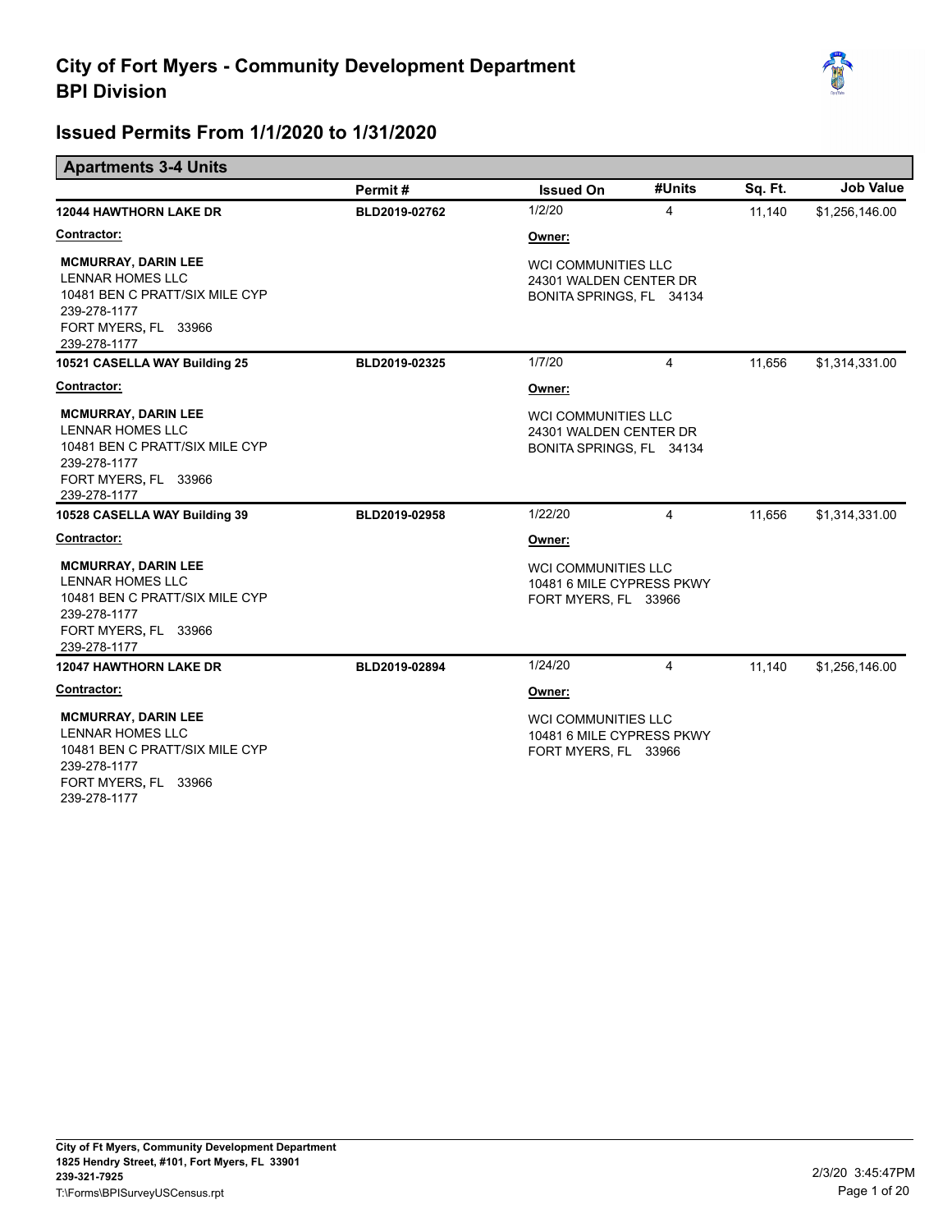

|                                                                                                                                                 | Permit#       | <b>Issued On</b>                                                                 | #Units | Sq. Ft. | <b>Job Value</b> |
|-------------------------------------------------------------------------------------------------------------------------------------------------|---------------|----------------------------------------------------------------------------------|--------|---------|------------------|
| <b>12044 HAWTHORN LAKE DR</b>                                                                                                                   | BLD2019-02762 | 1/2/20                                                                           | 4      | 11,140  | \$1,256,146.00   |
| Contractor:                                                                                                                                     |               | Owner:                                                                           |        |         |                  |
| <b>MCMURRAY, DARIN LEE</b><br><b>LENNAR HOMES LLC</b><br>10481 BEN C PRATT/SIX MILE CYP<br>239-278-1177<br>FORT MYERS, FL 33966<br>239-278-1177 |               | <b>WCI COMMUNITIES LLC</b><br>24301 WALDEN CENTER DR<br>BONITA SPRINGS, FL 34134 |        |         |                  |
| 10521 CASELLA WAY Building 25                                                                                                                   | BLD2019-02325 | 1/7/20                                                                           | 4      | 11,656  | \$1,314,331.00   |
| Contractor:                                                                                                                                     |               | Owner:                                                                           |        |         |                  |
| <b>MCMURRAY, DARIN LEE</b><br><b>LENNAR HOMES LLC</b><br>10481 BEN C PRATT/SIX MILE CYP<br>239-278-1177<br>FORT MYERS, FL 33966<br>239-278-1177 |               | WCI COMMUNITIES LLC<br>24301 WALDEN CENTER DR<br>BONITA SPRINGS, FL 34134        |        |         |                  |
| 10528 CASELLA WAY Building 39                                                                                                                   | BLD2019-02958 | 1/22/20                                                                          | 4      | 11,656  | \$1,314,331.00   |
| Contractor:                                                                                                                                     |               | Owner:                                                                           |        |         |                  |
| <b>MCMURRAY, DARIN LEE</b><br><b>LENNAR HOMES LLC</b><br>10481 BEN C PRATT/SIX MILE CYP<br>239-278-1177<br>FORT MYERS, FL 33966<br>239-278-1177 |               | <b>WCI COMMUNITIES LLC</b><br>10481 6 MILE CYPRESS PKWY<br>FORT MYERS, FL 33966  |        |         |                  |
| <b>12047 HAWTHORN LAKE DR</b>                                                                                                                   | BLD2019-02894 | 1/24/20                                                                          | 4      | 11.140  | \$1,256,146.00   |
| <b>Contractor:</b>                                                                                                                              |               | Owner:                                                                           |        |         |                  |
| <b>MCMURRAY, DARIN LEE</b><br><b>LENNAR HOMES LLC</b><br>10481 BEN C PRATT/SIX MILE CYP<br>239-278-1177<br>FORT MYERS, FL 33966<br>239-278-1177 |               | <b>WCI COMMUNITIES LLC</b><br>10481 6 MILE CYPRESS PKWY<br>FORT MYERS, FL 33966  |        |         |                  |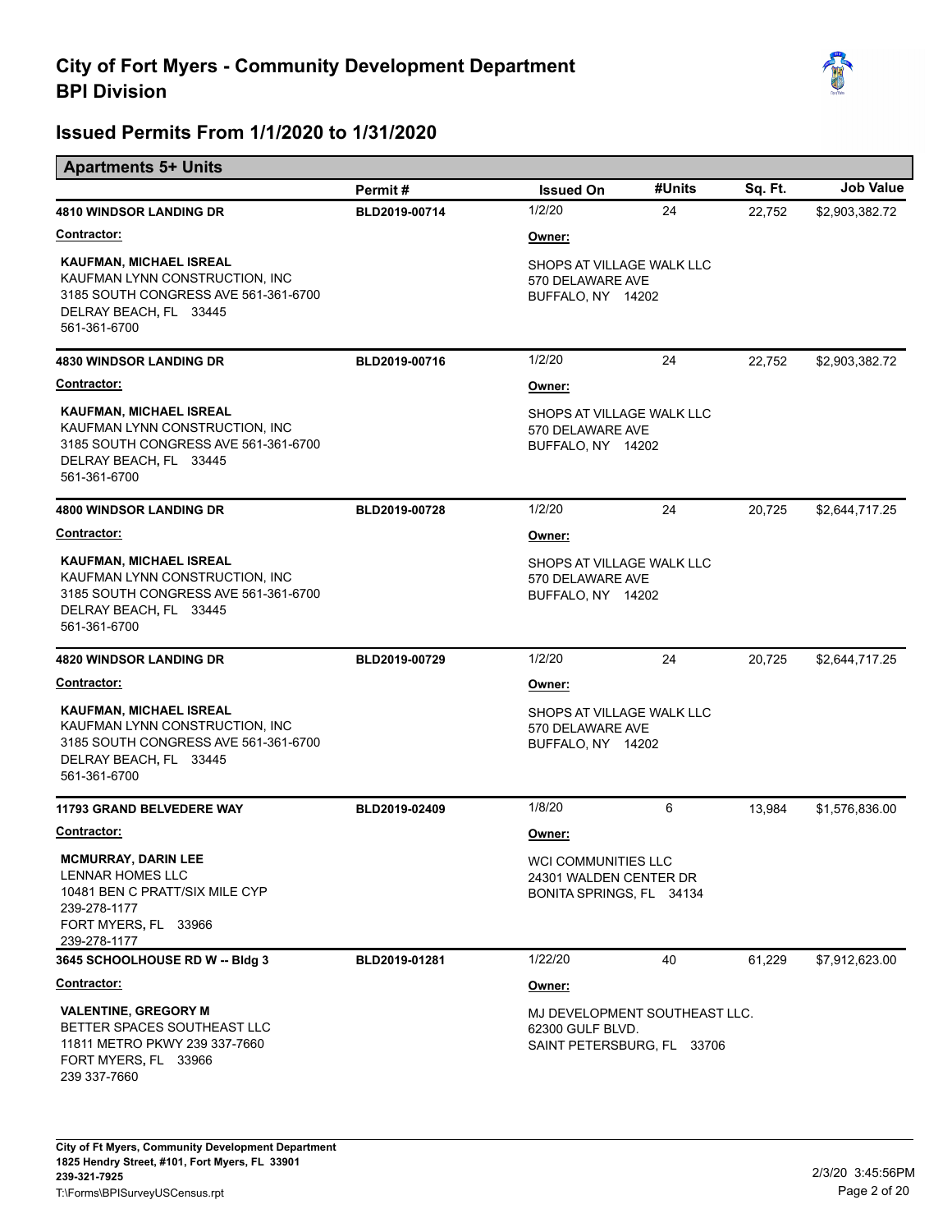

|                                                                                                                                             | Permit#       | <b>Issued On</b>                                                                | #Units | Sq. Ft. | <b>Job Value</b> |
|---------------------------------------------------------------------------------------------------------------------------------------------|---------------|---------------------------------------------------------------------------------|--------|---------|------------------|
| <b>4810 WINDSOR LANDING DR</b>                                                                                                              | BLD2019-00714 | 1/2/20                                                                          | 24     | 22,752  | \$2,903,382.72   |
| <b>Contractor:</b>                                                                                                                          |               | Owner:                                                                          |        |         |                  |
| KAUFMAN, MICHAEL ISREAL<br>KAUFMAN LYNN CONSTRUCTION, INC<br>3185 SOUTH CONGRESS AVE 561-361-6700<br>DELRAY BEACH, FL 33445<br>561-361-6700 |               | SHOPS AT VILLAGE WALK LLC<br>570 DELAWARE AVE<br>BUFFALO, NY 14202              |        |         |                  |
| <b>4830 WINDSOR LANDING DR</b>                                                                                                              | BLD2019-00716 | 1/2/20                                                                          | 24     | 22,752  | \$2,903,382.72   |
| <b>Contractor:</b>                                                                                                                          |               | Owner:                                                                          |        |         |                  |
| KAUFMAN, MICHAEL ISREAL<br>KAUFMAN LYNN CONSTRUCTION, INC<br>3185 SOUTH CONGRESS AVE 561-361-6700<br>DELRAY BEACH, FL 33445<br>561-361-6700 |               | SHOPS AT VILLAGE WALK LLC<br>570 DELAWARE AVE<br>BUFFALO, NY 14202              |        |         |                  |
| <b>4800 WINDSOR LANDING DR</b>                                                                                                              | BLD2019-00728 | 1/2/20                                                                          | 24     | 20.725  | \$2,644,717.25   |
| <b>Contractor:</b>                                                                                                                          |               | Owner:                                                                          |        |         |                  |
| KAUFMAN, MICHAEL ISREAL<br>KAUFMAN LYNN CONSTRUCTION, INC<br>3185 SOUTH CONGRESS AVE 561-361-6700<br>DELRAY BEACH, FL 33445<br>561-361-6700 |               | SHOPS AT VILLAGE WALK LLC<br>570 DELAWARE AVE<br>BUFFALO, NY 14202              |        |         |                  |
| <b>4820 WINDSOR LANDING DR</b>                                                                                                              | BLD2019-00729 | 1/2/20                                                                          | 24     | 20,725  | \$2,644,717.25   |
| <b>Contractor:</b>                                                                                                                          |               | Owner:                                                                          |        |         |                  |
| KAUFMAN, MICHAEL ISREAL<br>KAUFMAN LYNN CONSTRUCTION, INC<br>3185 SOUTH CONGRESS AVE 561-361-6700<br>DELRAY BEACH, FL 33445<br>561-361-6700 |               | SHOPS AT VILLAGE WALK LLC<br>570 DELAWARE AVE<br>BUFFALO, NY 14202              |        |         |                  |
| 11793 GRAND BELVEDERE WAY                                                                                                                   | BLD2019-02409 | 1/8/20                                                                          | 6      | 13,984  | \$1,576,836.00   |
| Contractor:                                                                                                                                 |               | Owner:                                                                          |        |         |                  |
| <b>MCMURRAY, DARIN LEE</b><br>LENNAR HOMES LLC<br>10481 BEN C PRATT/SIX MILE CYP<br>239-278-1177<br>FORT MYERS, FL 33966<br>239-278-1177    |               | WCI COMMUNITIES LLC<br>24301 WALDEN CENTER DR<br>BONITA SPRINGS, FL 34134       |        |         |                  |
| 3645 SCHOOLHOUSE RD W -- Bldg 3                                                                                                             | BLD2019-01281 | 1/22/20                                                                         | 40     | 61,229  | \$7,912,623.00   |
| <b>Contractor:</b>                                                                                                                          |               | Owner:                                                                          |        |         |                  |
| <b>VALENTINE, GREGORY M</b><br>BETTER SPACES SOUTHEAST LLC<br>11811 METRO PKWY 239 337-7660<br>FORT MYERS, FL 33966<br>239 337-7660         |               | MJ DEVELOPMENT SOUTHEAST LLC.<br>62300 GULF BLVD.<br>SAINT PETERSBURG, FL 33706 |        |         |                  |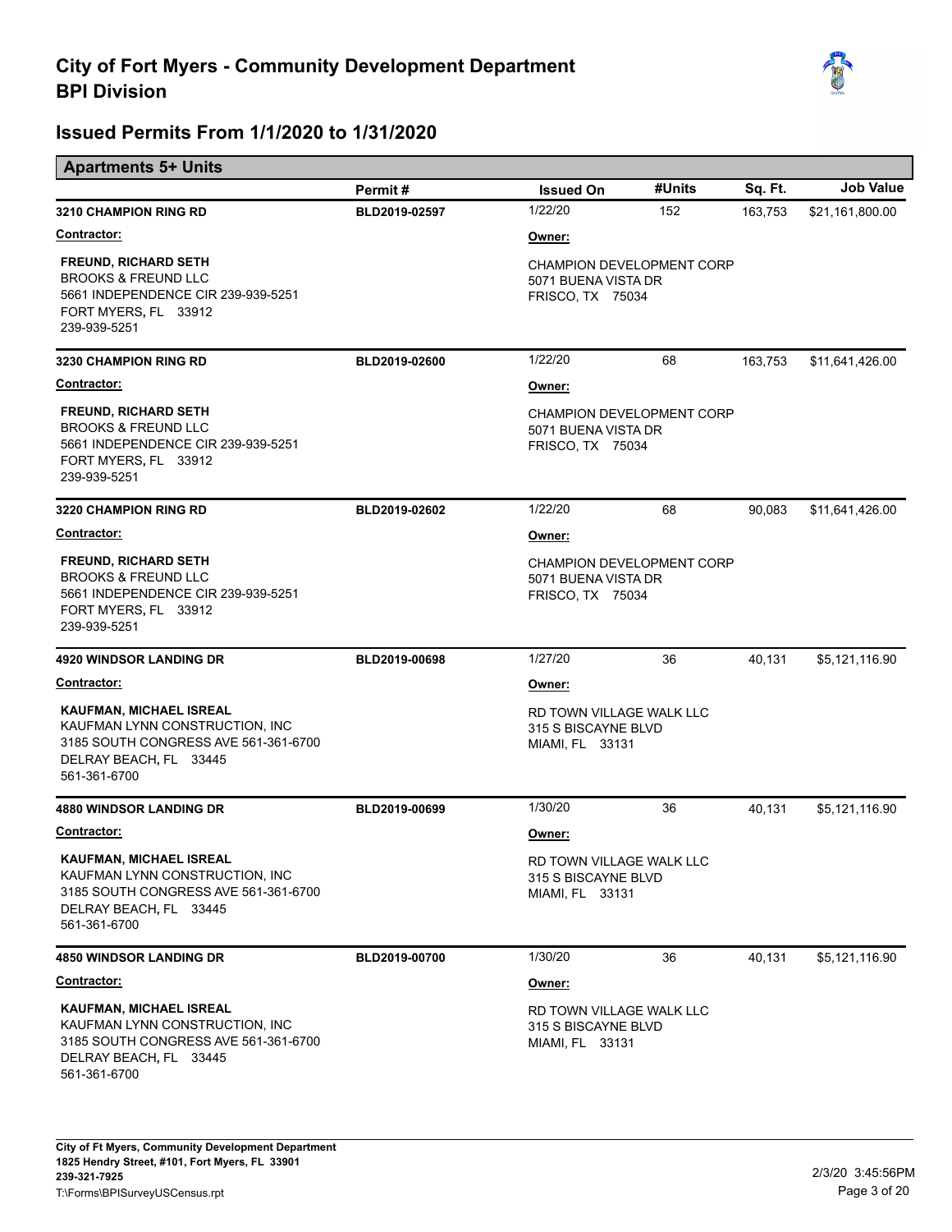

| <b>Apartments 5+ Units</b>                                                                                                                         |               |                                                                             |        |         |                  |
|----------------------------------------------------------------------------------------------------------------------------------------------------|---------------|-----------------------------------------------------------------------------|--------|---------|------------------|
|                                                                                                                                                    | Permit#       | <b>Issued On</b>                                                            | #Units | Sq. Ft. | <b>Job Value</b> |
| <b>3210 CHAMPION RING RD</b>                                                                                                                       | BLD2019-02597 | 1/22/20                                                                     | 152    | 163,753 | \$21,161,800.00  |
| <b>Contractor:</b>                                                                                                                                 |               | Owner:                                                                      |        |         |                  |
| <b>FREUND, RICHARD SETH</b><br><b>BROOKS &amp; FREUND LLC</b><br>5661 INDEPENDENCE CIR 239-939-5251<br>FORT MYERS, FL 33912<br>239-939-5251        |               | <b>CHAMPION DEVELOPMENT CORP</b><br>5071 BUENA VISTA DR<br>FRISCO, TX 75034 |        |         |                  |
| <b>3230 CHAMPION RING RD</b>                                                                                                                       | BLD2019-02600 | 1/22/20                                                                     | 68     | 163,753 | \$11,641,426.00  |
| Contractor:                                                                                                                                        |               | Owner:                                                                      |        |         |                  |
| <b>FREUND, RICHARD SETH</b><br><b>BROOKS &amp; FREUND LLC</b><br>5661 INDEPENDENCE CIR 239-939-5251<br>FORT MYERS, FL 33912<br>239-939-5251        |               | CHAMPION DEVELOPMENT CORP<br>5071 BUENA VISTA DR<br>FRISCO, TX 75034        |        |         |                  |
| <b>3220 CHAMPION RING RD</b>                                                                                                                       | BLD2019-02602 | 1/22/20                                                                     | 68     | 90,083  | \$11,641,426.00  |
| Contractor:                                                                                                                                        |               | Owner:                                                                      |        |         |                  |
| <b>FREUND, RICHARD SETH</b><br><b>BROOKS &amp; FREUND LLC</b><br>5661 INDEPENDENCE CIR 239-939-5251<br>FORT MYERS, FL 33912<br>239-939-5251        |               | CHAMPION DEVELOPMENT CORP<br>5071 BUENA VISTA DR<br>FRISCO, TX 75034        |        |         |                  |
| <b>4920 WINDSOR LANDING DR</b>                                                                                                                     | BLD2019-00698 | 1/27/20                                                                     | 36     | 40,131  | \$5,121,116.90   |
| Contractor:                                                                                                                                        |               | Owner:                                                                      |        |         |                  |
| <b>KAUFMAN, MICHAEL ISREAL</b><br>KAUFMAN LYNN CONSTRUCTION, INC<br>3185 SOUTH CONGRESS AVE 561-361-6700<br>DELRAY BEACH, FL 33445<br>561-361-6700 |               | RD TOWN VILLAGE WALK LLC<br>315 S BISCAYNE BLVD<br>MIAMI, FL 33131          |        |         |                  |
| <b>4880 WINDSOR LANDING DR</b>                                                                                                                     | BLD2019-00699 | 1/30/20                                                                     | 36     | 40,131  | \$5,121,116.90   |
| Contractor:                                                                                                                                        |               | Owner:                                                                      |        |         |                  |
| KAUFMAN, MICHAEL ISREAL<br>KAUFMAN LYNN CONSTRUCTION, INC<br>3185 SOUTH CONGRESS AVE 561-361-6700<br>DELRAY BEACH, FL 33445<br>561-361-6700        |               | RD TOWN VILLAGE WALK LLC<br>315 S BISCAYNE BLVD<br>MIAMI, FL 33131          |        |         |                  |
| <b>4850 WINDSOR LANDING DR</b>                                                                                                                     | BLD2019-00700 | 1/30/20                                                                     | 36     | 40,131  | \$5,121,116.90   |
| <b>Contractor:</b>                                                                                                                                 |               | Owner:                                                                      |        |         |                  |
| KAUFMAN, MICHAEL ISREAL<br>KAUFMAN LYNN CONSTRUCTION, INC<br>3185 SOUTH CONGRESS AVE 561-361-6700<br>DELRAY BEACH, FL 33445<br>561-361-6700        |               | RD TOWN VILLAGE WALK LLC<br>315 S BISCAYNE BLVD<br>MIAMI, FL 33131          |        |         |                  |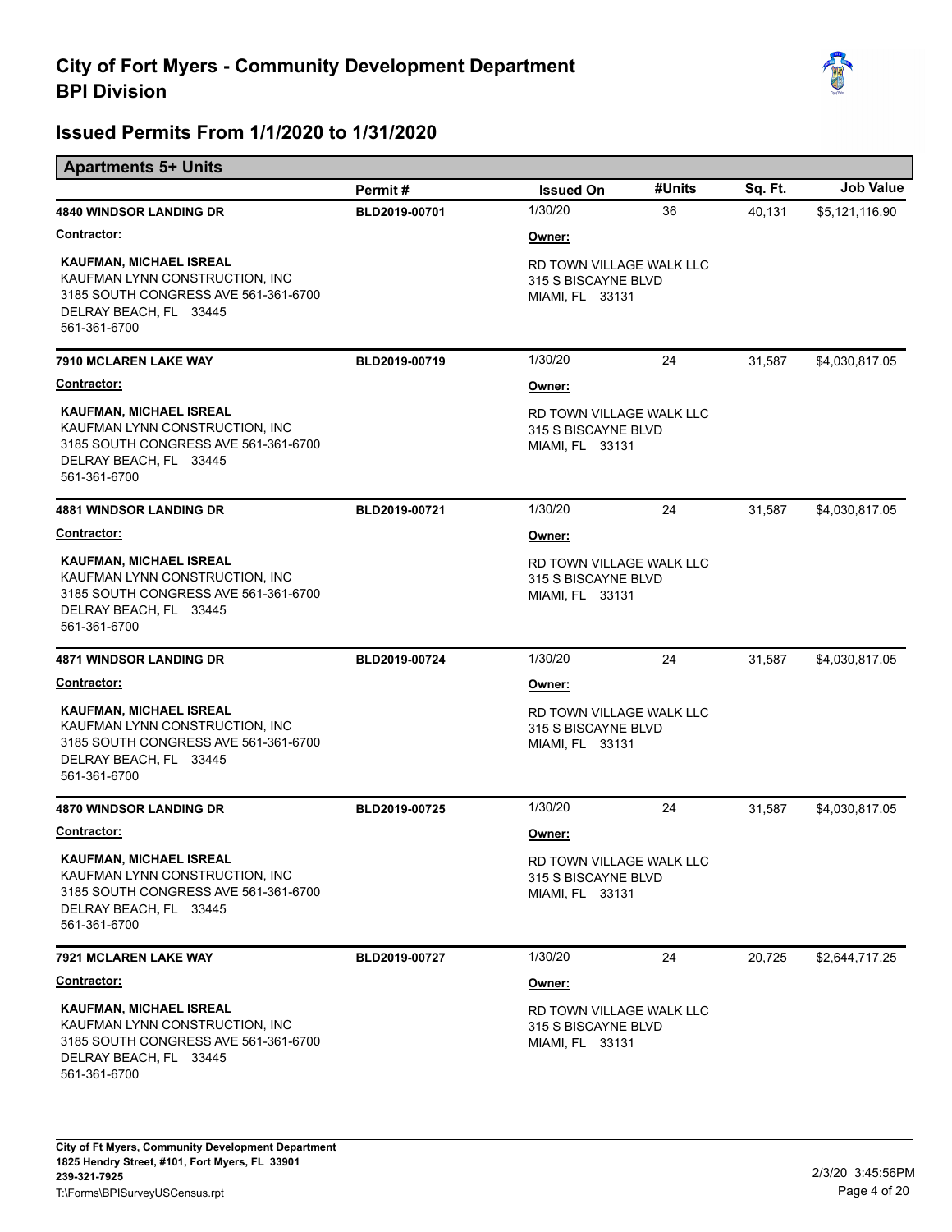

## **Issued Permits From 1/1/2020 to 1/31/2020**

| <b>Apartments 5+ Units</b>                                                                                                                         |               |                                                                    |        |         |                  |
|----------------------------------------------------------------------------------------------------------------------------------------------------|---------------|--------------------------------------------------------------------|--------|---------|------------------|
|                                                                                                                                                    | Permit#       | <b>Issued On</b>                                                   | #Units | Sq. Ft. | <b>Job Value</b> |
| <b>4840 WINDSOR LANDING DR</b>                                                                                                                     | BLD2019-00701 | 1/30/20                                                            | 36     | 40,131  | \$5,121,116.90   |
| <b>Contractor:</b>                                                                                                                                 |               | Owner:                                                             |        |         |                  |
| <b>KAUFMAN, MICHAEL ISREAL</b><br>KAUFMAN LYNN CONSTRUCTION, INC<br>3185 SOUTH CONGRESS AVE 561-361-6700<br>DELRAY BEACH, FL 33445<br>561-361-6700 |               | RD TOWN VILLAGE WALK LLC<br>315 S BISCAYNE BLVD<br>MIAMI, FL 33131 |        |         |                  |
| 7910 MCLAREN LAKE WAY                                                                                                                              | BLD2019-00719 | 1/30/20                                                            | 24     | 31,587  | \$4,030,817.05   |
| Contractor:                                                                                                                                        |               | Owner:                                                             |        |         |                  |
| <b>KAUFMAN, MICHAEL ISREAL</b><br>KAUFMAN LYNN CONSTRUCTION, INC<br>3185 SOUTH CONGRESS AVE 561-361-6700<br>DELRAY BEACH, FL 33445<br>561-361-6700 |               | RD TOWN VILLAGE WALK LLC<br>315 S BISCAYNE BLVD<br>MIAMI, FL 33131 |        |         |                  |
| <b>4881 WINDSOR LANDING DR</b>                                                                                                                     | BLD2019-00721 | 1/30/20                                                            | 24     | 31,587  | \$4,030,817.05   |
| Contractor:                                                                                                                                        |               | Owner:                                                             |        |         |                  |
| <b>KAUFMAN, MICHAEL ISREAL</b><br>KAUFMAN LYNN CONSTRUCTION, INC<br>3185 SOUTH CONGRESS AVE 561-361-6700<br>DELRAY BEACH, FL 33445<br>561-361-6700 |               | RD TOWN VILLAGE WALK LLC<br>315 S BISCAYNE BLVD<br>MIAMI, FL 33131 |        |         |                  |
| <b>4871 WINDSOR LANDING DR</b>                                                                                                                     | BLD2019-00724 | 1/30/20                                                            | 24     | 31,587  | \$4,030,817.05   |
| <b>Contractor:</b>                                                                                                                                 |               | Owner:                                                             |        |         |                  |
| KAUFMAN, MICHAEL ISREAL<br>KAUFMAN LYNN CONSTRUCTION, INC<br>3185 SOUTH CONGRESS AVE 561-361-6700<br>DELRAY BEACH, FL 33445<br>561-361-6700        |               | RD TOWN VILLAGE WALK LLC<br>315 S BISCAYNE BLVD<br>MIAMI, FL 33131 |        |         |                  |
| <b>4870 WINDSOR LANDING DR</b>                                                                                                                     | BLD2019-00725 | 1/30/20                                                            | 24     | 31,587  | \$4,030,817.05   |
| Contractor:                                                                                                                                        |               | Owner:                                                             |        |         |                  |
| <b>KAUFMAN, MICHAEL ISREAL</b><br>KAUFMAN LYNN CONSTRUCTION, INC<br>3185 SOUTH CONGRESS AVE 561-361-6700<br>DELRAY BEACH, FL 33445<br>561-361-6700 |               | RD TOWN VILLAGE WALK LLC<br>315 S BISCAYNE BLVD<br>MIAMI, FL 33131 |        |         |                  |
| 7921 MCLAREN LAKE WAY                                                                                                                              | BLD2019-00727 | 1/30/20                                                            | 24     | 20,725  | \$2,644,717.25   |
| <b>Contractor:</b>                                                                                                                                 |               | Owner:                                                             |        |         |                  |

 DELRAY BEACH**,** FL 33445 3185 SOUTH CONGRESS AVE 561-361-6700 561-361-6700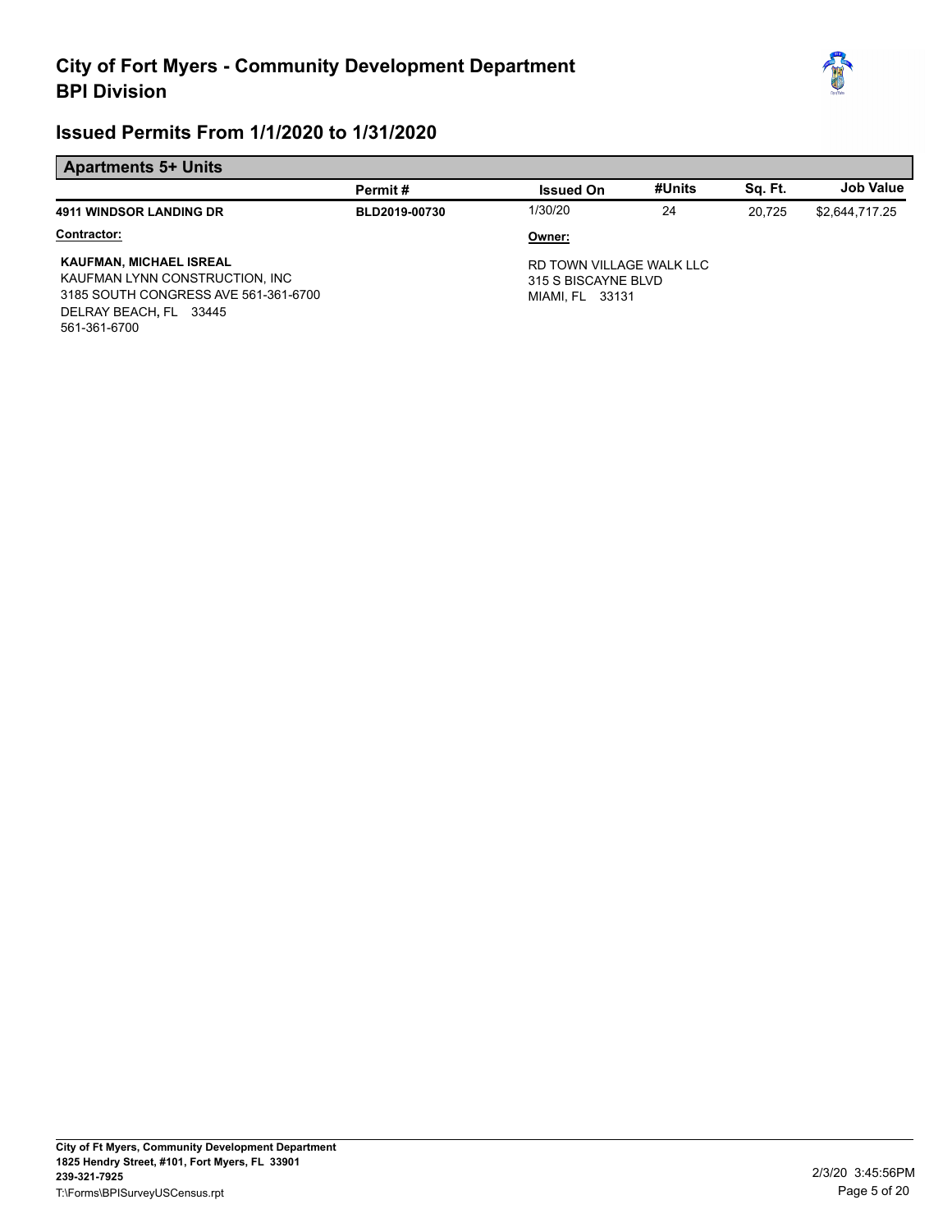

#### **Apartments 5+ Units**

|                                                                                                                                                    | Permit#       | <b>Issued On</b>                                                   | #Units | Sa. Ft. | Job Value      |
|----------------------------------------------------------------------------------------------------------------------------------------------------|---------------|--------------------------------------------------------------------|--------|---------|----------------|
| <b>4911 WINDSOR LANDING DR</b>                                                                                                                     | BLD2019-00730 | 1/30/20                                                            | 24     | 20.725  | \$2,644,717.25 |
| Contractor:                                                                                                                                        |               | Owner:                                                             |        |         |                |
| <b>KAUFMAN, MICHAEL ISREAL</b><br>KAUFMAN LYNN CONSTRUCTION, INC<br>3185 SOUTH CONGRESS AVE 561-361-6700<br>DELRAY BEACH, FL 33445<br>561-361-6700 |               | RD TOWN VILLAGE WALK LLC<br>315 S BISCAYNE BLVD<br>MIAMI, FL 33131 |        |         |                |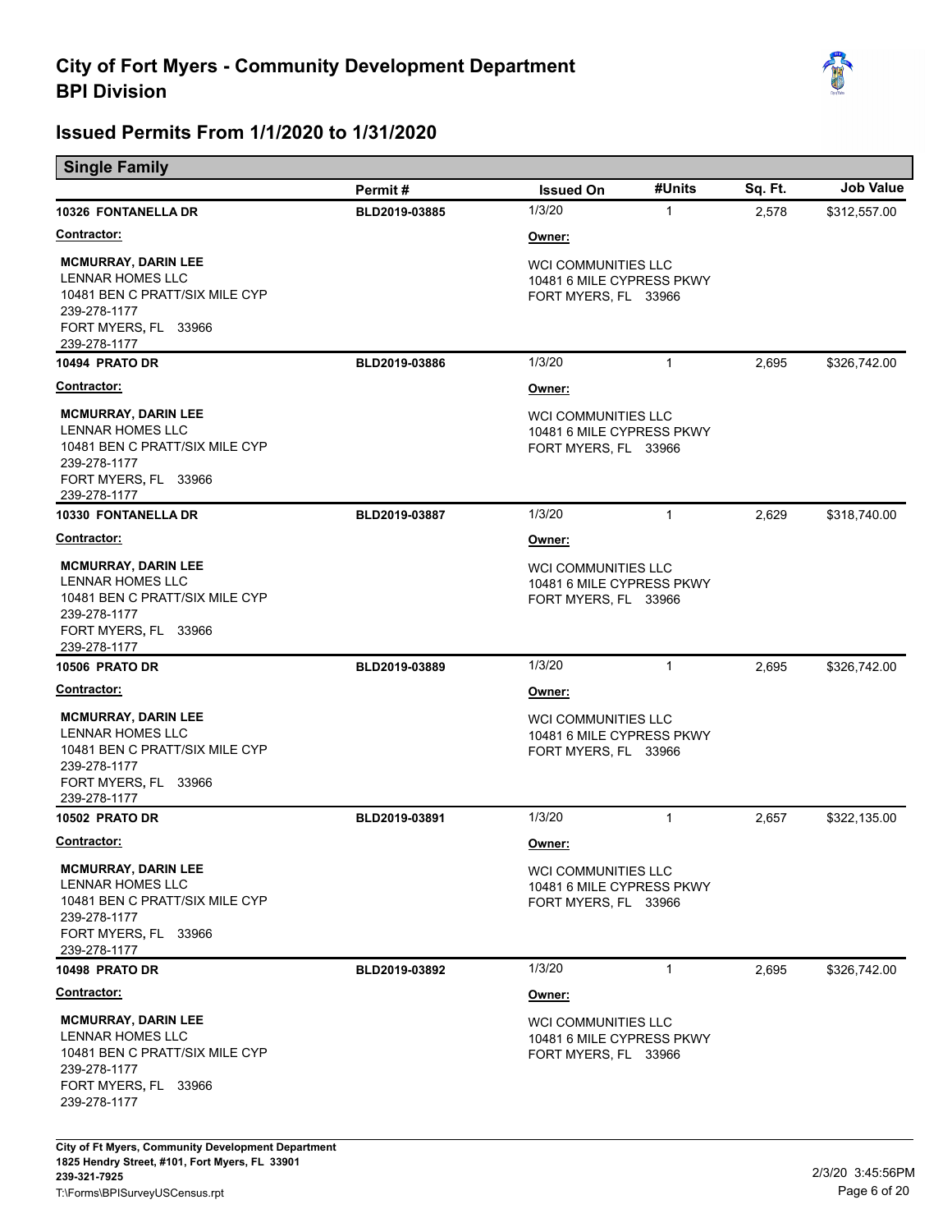

| <b>Single Family</b> |  |  |
|----------------------|--|--|
|                      |  |  |

|                                                                                                                                          | Permit#       | <b>Issued On</b>                                                                | #Units       | Sq. Ft. | <b>Job Value</b> |
|------------------------------------------------------------------------------------------------------------------------------------------|---------------|---------------------------------------------------------------------------------|--------------|---------|------------------|
| <b>10326 FONTANELLA DR</b>                                                                                                               | BLD2019-03885 | 1/3/20                                                                          | $\mathbf{1}$ | 2,578   | \$312,557.00     |
| <b>Contractor:</b>                                                                                                                       |               | Owner:                                                                          |              |         |                  |
| <b>MCMURRAY, DARIN LEE</b><br><b>LENNAR HOMES LLC</b><br>10481 BEN C PRATT/SIX MILE CYP<br>239-278-1177<br>FORT MYERS, FL 33966          |               | <b>WCI COMMUNITIES LLC</b><br>10481 6 MILE CYPRESS PKWY<br>FORT MYERS, FL 33966 |              |         |                  |
| 239-278-1177                                                                                                                             |               |                                                                                 |              |         |                  |
| 10494 PRATO DR                                                                                                                           | BLD2019-03886 | 1/3/20                                                                          | $\mathbf{1}$ | 2,695   | \$326,742.00     |
| <b>Contractor:</b>                                                                                                                       |               | Owner:                                                                          |              |         |                  |
| <b>MCMURRAY, DARIN LEE</b><br>LENNAR HOMES LLC<br>10481 BEN C PRATT/SIX MILE CYP<br>239-278-1177<br>FORT MYERS, FL 33966<br>239-278-1177 |               | <b>WCI COMMUNITIES LLC</b><br>10481 6 MILE CYPRESS PKWY<br>FORT MYERS, FL 33966 |              |         |                  |
| 10330 FONTANELLA DR                                                                                                                      | BLD2019-03887 | 1/3/20                                                                          | $\mathbf{1}$ | 2,629   | \$318,740.00     |
| <u>Contractor:</u>                                                                                                                       |               | Owner:                                                                          |              |         |                  |
| <b>MCMURRAY, DARIN LEE</b><br>LENNAR HOMES LLC<br>10481 BEN C PRATT/SIX MILE CYP<br>239-278-1177<br>FORT MYERS, FL 33966<br>239-278-1177 |               | <b>WCI COMMUNITIES LLC</b><br>10481 6 MILE CYPRESS PKWY<br>FORT MYERS, FL 33966 |              |         |                  |
| <b>10506 PRATO DR</b>                                                                                                                    | BLD2019-03889 | 1/3/20                                                                          | $\mathbf{1}$ | 2,695   | \$326,742.00     |
| <b>Contractor:</b>                                                                                                                       |               | Owner:                                                                          |              |         |                  |
| <b>MCMURRAY, DARIN LEE</b><br>LENNAR HOMES LLC<br>10481 BEN C PRATT/SIX MILE CYP<br>239-278-1177<br>FORT MYERS, FL 33966<br>239-278-1177 |               | <b>WCI COMMUNITIES LLC</b><br>10481 6 MILE CYPRESS PKWY<br>FORT MYERS, FL 33966 |              |         |                  |
| <b>10502 PRATO DR</b>                                                                                                                    | BLD2019-03891 | 1/3/20                                                                          | $\mathbf{1}$ | 2,657   | \$322,135.00     |
| <u>Contractor:</u>                                                                                                                       |               | Owner:                                                                          |              |         |                  |
| <b>MCMURRAY, DARIN LEE</b><br>LENNAR HOMES LLC<br>10481 BEN C PRATT/SIX MILE CYP<br>239-278-1177<br>FORT MYERS, FL 33966<br>239-278-1177 |               | WCI COMMUNITIES LLC<br>10481 6 MILE CYPRESS PKWY<br>FORT MYERS, FL 33966        |              |         |                  |
| 10498 PRATO DR                                                                                                                           | BLD2019-03892 | 1/3/20                                                                          | $\mathbf{1}$ | 2,695   | \$326,742.00     |
| <b>Contractor:</b>                                                                                                                       |               | Owner:                                                                          |              |         |                  |
| <b>MCMURRAY, DARIN LEE</b><br>LENNAR HOMES LLC<br>10481 BEN C PRATT/SIX MILE CYP<br>239-278-1177<br>FORT MYERS, FL 33966<br>239-278-1177 |               | WCI COMMUNITIES LLC<br>10481 6 MILE CYPRESS PKWY<br>FORT MYERS, FL 33966        |              |         |                  |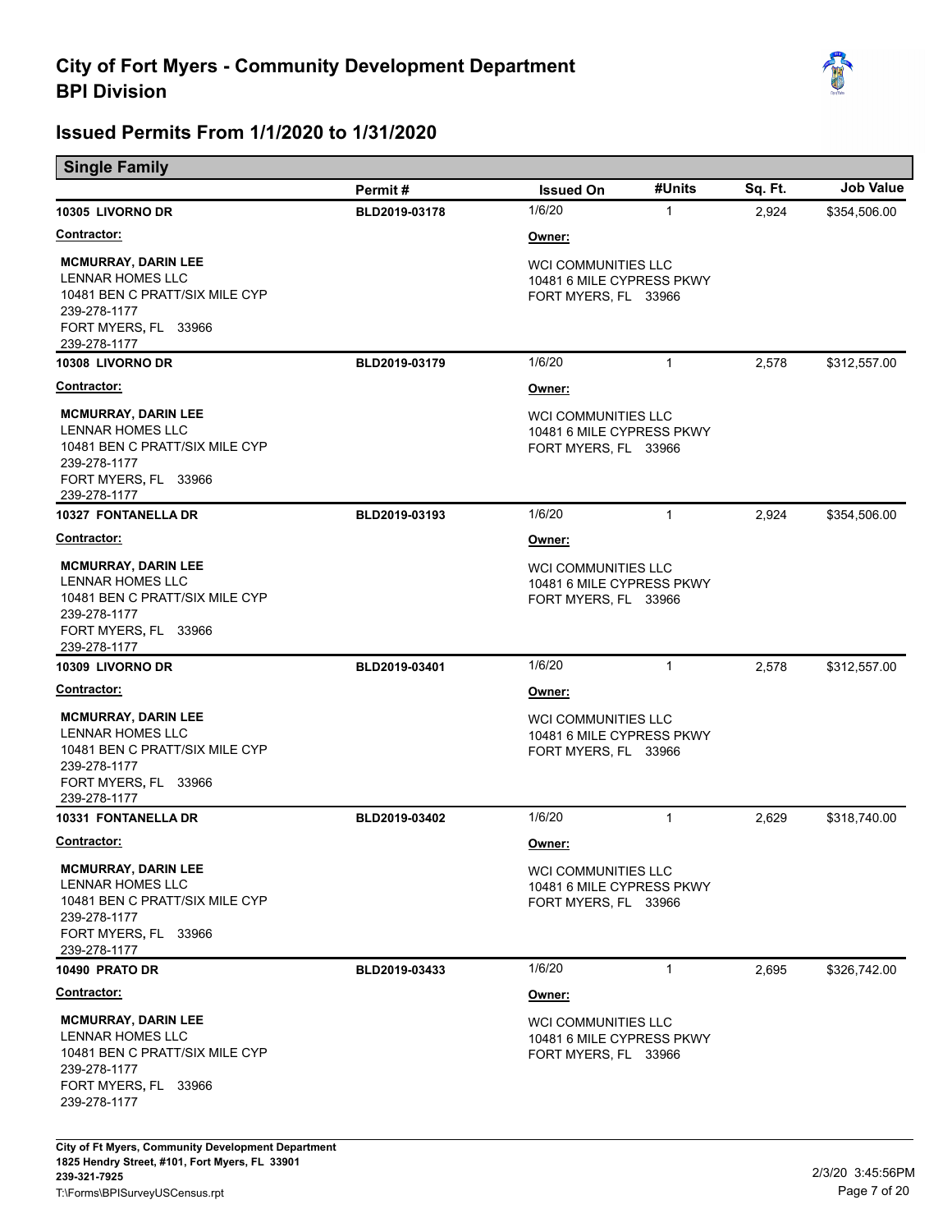

| <b>Single Family</b> |  |  |
|----------------------|--|--|
|                      |  |  |

|                                                                                                                                                 | Permit#       | <b>Issued On</b>                                                                | #Units       | Sq. Ft. | <b>Job Value</b> |
|-------------------------------------------------------------------------------------------------------------------------------------------------|---------------|---------------------------------------------------------------------------------|--------------|---------|------------------|
| 10305 LIVORNO DR                                                                                                                                | BLD2019-03178 | 1/6/20                                                                          | $\mathbf{1}$ | 2,924   | \$354,506.00     |
| <b>Contractor:</b>                                                                                                                              |               | Owner:                                                                          |              |         |                  |
| <b>MCMURRAY, DARIN LEE</b><br>LENNAR HOMES LLC<br>10481 BEN C PRATT/SIX MILE CYP<br>239-278-1177<br>FORT MYERS, FL 33966<br>239-278-1177        |               | <b>WCI COMMUNITIES LLC</b><br>10481 6 MILE CYPRESS PKWY<br>FORT MYERS, FL 33966 |              |         |                  |
| 10308 LIVORNO DR                                                                                                                                | BLD2019-03179 | 1/6/20                                                                          | $\mathbf{1}$ | 2,578   | \$312,557.00     |
| <b>Contractor:</b>                                                                                                                              |               | Owner:                                                                          |              |         |                  |
| <b>MCMURRAY, DARIN LEE</b><br>LENNAR HOMES LLC<br>10481 BEN C PRATT/SIX MILE CYP<br>239-278-1177<br>FORT MYERS, FL 33966<br>239-278-1177        |               | <b>WCI COMMUNITIES LLC</b><br>10481 6 MILE CYPRESS PKWY<br>FORT MYERS, FL 33966 |              |         |                  |
| 10327 FONTANELLA DR                                                                                                                             | BLD2019-03193 | 1/6/20                                                                          | $\mathbf{1}$ | 2,924   | \$354,506.00     |
| <b>Contractor:</b>                                                                                                                              |               | Owner:                                                                          |              |         |                  |
| <b>MCMURRAY, DARIN LEE</b><br>LENNAR HOMES LLC<br>10481 BEN C PRATT/SIX MILE CYP<br>239-278-1177<br>FORT MYERS, FL 33966<br>239-278-1177        |               | <b>WCI COMMUNITIES LLC</b><br>10481 6 MILE CYPRESS PKWY<br>FORT MYERS, FL 33966 |              |         |                  |
| 10309 LIVORNO DR                                                                                                                                | BLD2019-03401 | 1/6/20                                                                          | $\mathbf{1}$ | 2,578   | \$312,557.00     |
| <u>Contractor:</u>                                                                                                                              |               | Owner:                                                                          |              |         |                  |
| <b>MCMURRAY, DARIN LEE</b><br>LENNAR HOMES LLC<br>10481 BEN C PRATT/SIX MILE CYP<br>239-278-1177<br>FORT MYERS, FL 33966<br>239-278-1177        |               | <b>WCI COMMUNITIES LLC</b><br>10481 6 MILE CYPRESS PKWY<br>FORT MYERS, FL 33966 |              |         |                  |
| <b>10331 FONTANELLA DR</b>                                                                                                                      | BLD2019-03402 | 1/6/20                                                                          | $\mathbf{1}$ | 2,629   | \$318,740.00     |
| <b>Contractor:</b>                                                                                                                              |               | Owner:                                                                          |              |         |                  |
| <b>MCMURRAY, DARIN LEE</b><br>LENNAR HOMES LLC<br>10481 BEN C PRATT/SIX MILE CYP<br>239-278-1177<br>FORT MYERS, FL 33966<br>239-278-1177        |               | WCI COMMUNITIES LLC<br>10481 6 MILE CYPRESS PKWY<br>FORT MYERS, FL 33966        |              |         |                  |
| 10490 PRATO DR                                                                                                                                  | BLD2019-03433 | 1/6/20                                                                          | $\mathbf{1}$ | 2,695   | \$326,742.00     |
| <u>Contractor:</u>                                                                                                                              |               | Owner:                                                                          |              |         |                  |
| <b>MCMURRAY, DARIN LEE</b><br><b>LENNAR HOMES LLC</b><br>10481 BEN C PRATT/SIX MILE CYP<br>239-278-1177<br>FORT MYERS, FL 33966<br>239-278-1177 |               | <b>WCI COMMUNITIES LLC</b><br>10481 6 MILE CYPRESS PKWY<br>FORT MYERS, FL 33966 |              |         |                  |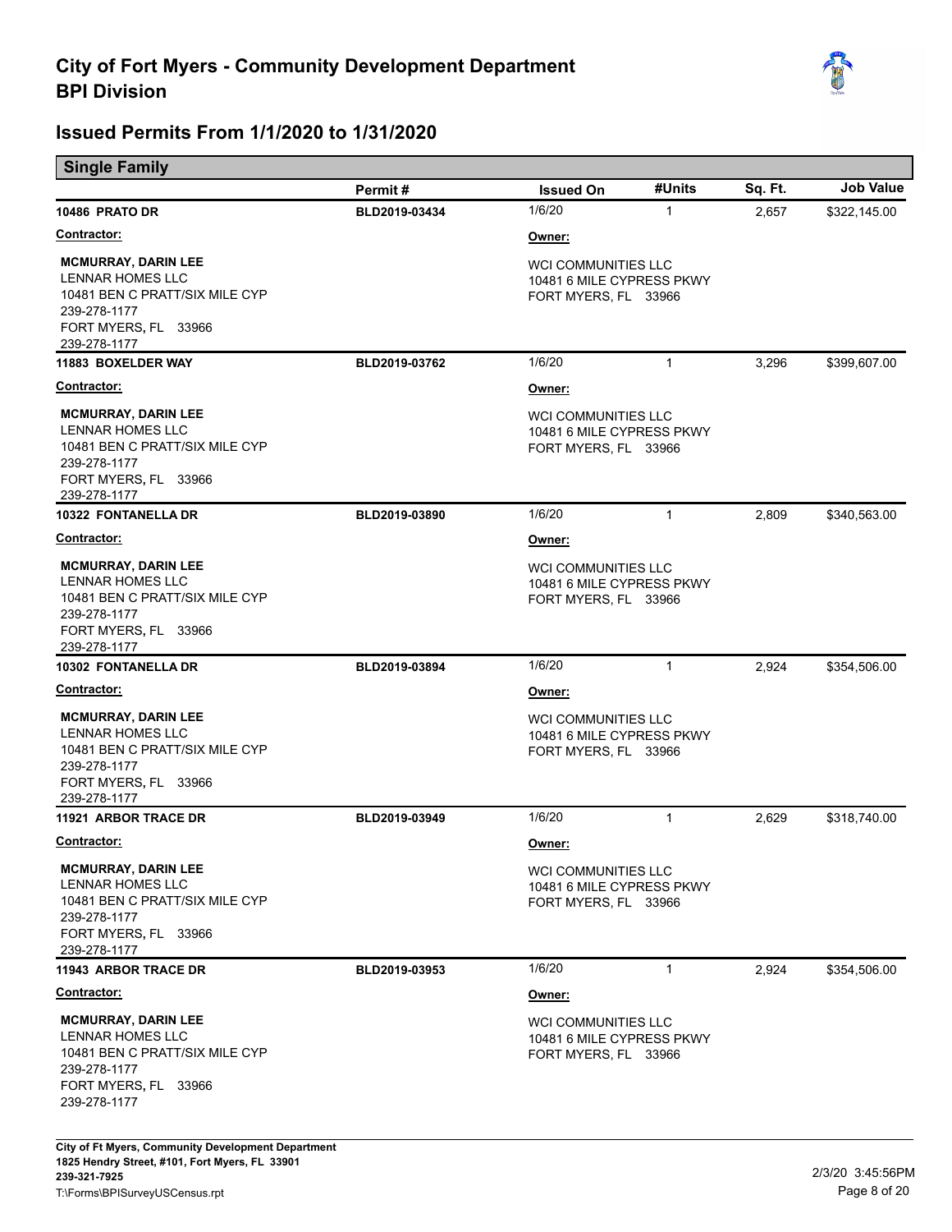

| <b>Single Family</b> |
|----------------------|
|                      |

|                                                                                                                                                 | Permit#       | <b>Issued On</b>                                                                | #Units       | Sq. Ft. | <b>Job Value</b> |
|-------------------------------------------------------------------------------------------------------------------------------------------------|---------------|---------------------------------------------------------------------------------|--------------|---------|------------------|
| 10486 PRATO DR                                                                                                                                  | BLD2019-03434 | 1/6/20                                                                          | $\mathbf{1}$ | 2,657   | \$322,145.00     |
| <b>Contractor:</b>                                                                                                                              |               | Owner:                                                                          |              |         |                  |
| <b>MCMURRAY, DARIN LEE</b><br>LENNAR HOMES LLC<br>10481 BEN C PRATT/SIX MILE CYP<br>239-278-1177<br>FORT MYERS, FL 33966                        |               | <b>WCI COMMUNITIES LLC</b><br>10481 6 MILE CYPRESS PKWY<br>FORT MYERS, FL 33966 |              |         |                  |
| 239-278-1177<br><b>11883 BOXELDER WAY</b>                                                                                                       | BLD2019-03762 | 1/6/20                                                                          | $\mathbf{1}$ | 3,296   | \$399,607.00     |
| <b>Contractor:</b>                                                                                                                              |               | Owner:                                                                          |              |         |                  |
| <b>MCMURRAY, DARIN LEE</b><br>LENNAR HOMES LLC<br>10481 BEN C PRATT/SIX MILE CYP<br>239-278-1177<br>FORT MYERS, FL 33966<br>239-278-1177        |               | WCI COMMUNITIES LLC<br>10481 6 MILE CYPRESS PKWY<br>FORT MYERS, FL 33966        |              |         |                  |
| 10322 FONTANELLA DR                                                                                                                             | BLD2019-03890 | 1/6/20                                                                          | $\mathbf{1}$ | 2,809   | \$340,563.00     |
| <b>Contractor:</b>                                                                                                                              |               | Owner:                                                                          |              |         |                  |
| <b>MCMURRAY, DARIN LEE</b><br><b>LENNAR HOMES LLC</b><br>10481 BEN C PRATT/SIX MILE CYP<br>239-278-1177<br>FORT MYERS, FL 33966<br>239-278-1177 |               | <b>WCI COMMUNITIES LLC</b><br>10481 6 MILE CYPRESS PKWY<br>FORT MYERS, FL 33966 |              |         |                  |
| <b>10302 FONTANELLA DR</b>                                                                                                                      | BLD2019-03894 | 1/6/20                                                                          | $\mathbf{1}$ | 2,924   | \$354,506.00     |
| <u>Contractor:</u>                                                                                                                              |               | Owner:                                                                          |              |         |                  |
| <b>MCMURRAY, DARIN LEE</b><br>LENNAR HOMES LLC<br>10481 BEN C PRATT/SIX MILE CYP<br>239-278-1177<br>FORT MYERS, FL 33966<br>239-278-1177        |               | <b>WCI COMMUNITIES LLC</b><br>10481 6 MILE CYPRESS PKWY<br>FORT MYERS, FL 33966 |              |         |                  |
| <b>11921 ARBOR TRACE DR</b>                                                                                                                     | BLD2019-03949 | 1/6/20                                                                          | $\mathbf{1}$ | 2,629   | \$318,740.00     |
| <b>Contractor:</b>                                                                                                                              |               | <u>Owner:</u>                                                                   |              |         |                  |
| <b>MCMURRAY, DARIN LEE</b><br>LENNAR HOMES LLC<br>10481 BEN C PRATT/SIX MILE CYP<br>239-278-1177<br>FORT MYERS, FL 33966<br>239-278-1177        |               | WCI COMMUNITIES LLC<br>10481 6 MILE CYPRESS PKWY<br>FORT MYERS, FL 33966        |              |         |                  |
| <b>11943 ARBOR TRACE DR</b>                                                                                                                     | BLD2019-03953 | 1/6/20                                                                          | $\mathbf{1}$ | 2.924   | \$354,506.00     |
| <u>Contractor:</u>                                                                                                                              |               | Owner:                                                                          |              |         |                  |
| <b>MCMURRAY, DARIN LEE</b><br><b>LENNAR HOMES LLC</b><br>10481 BEN C PRATT/SIX MILE CYP<br>239-278-1177<br>FORT MYERS, FL 33966<br>239-278-1177 |               | <b>WCI COMMUNITIES LLC</b><br>10481 6 MILE CYPRESS PKWY<br>FORT MYERS, FL 33966 |              |         |                  |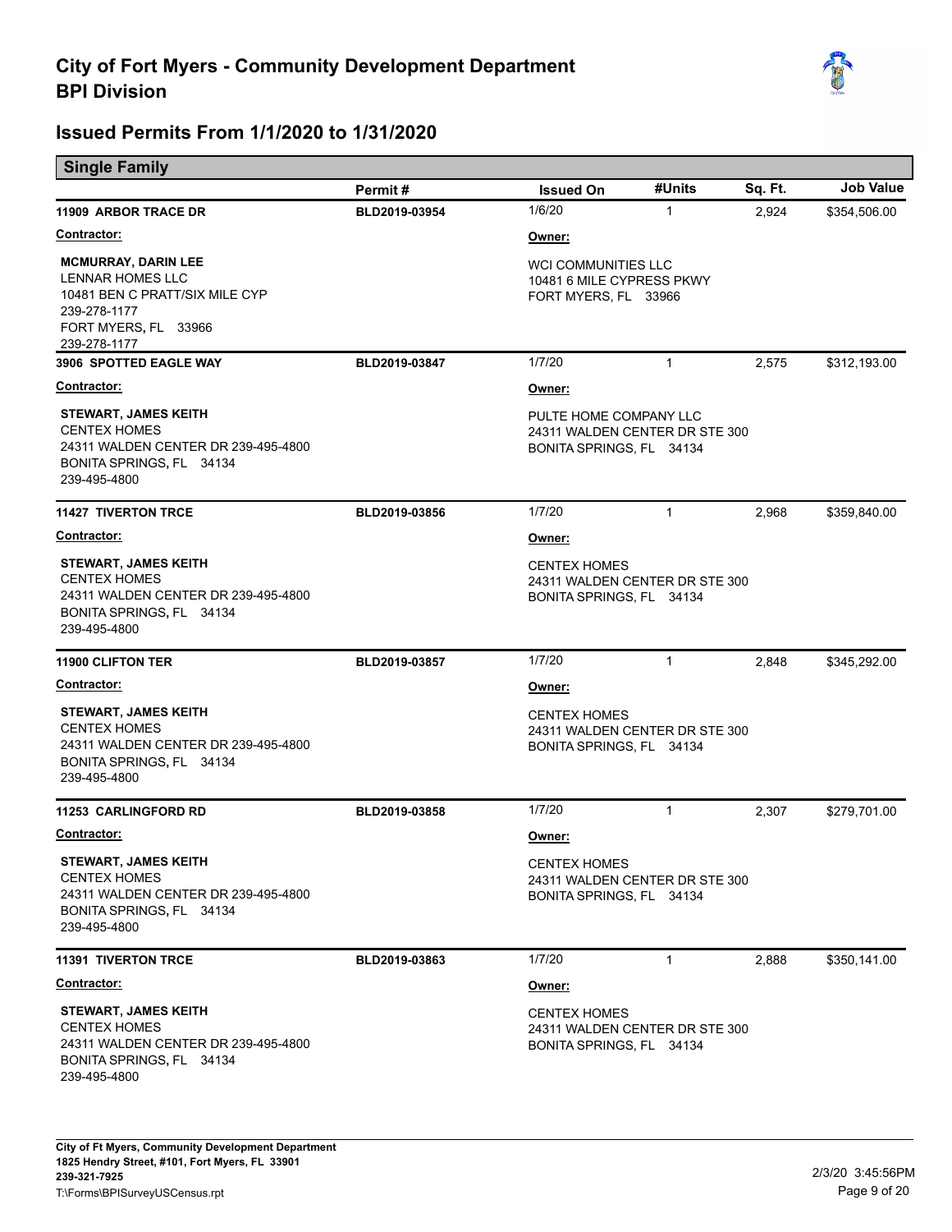

| <b>Single Family</b>                                                                                                                            |               |                                                                                      |              |         |                  |
|-------------------------------------------------------------------------------------------------------------------------------------------------|---------------|--------------------------------------------------------------------------------------|--------------|---------|------------------|
|                                                                                                                                                 | Permit#       | <b>Issued On</b>                                                                     | #Units       | Sq. Ft. | <b>Job Value</b> |
| 11909 ARBOR TRACE DR                                                                                                                            | BLD2019-03954 | 1/6/20                                                                               | 1            | 2,924   | \$354,506.00     |
| <b>Contractor:</b>                                                                                                                              |               | Owner:                                                                               |              |         |                  |
| <b>MCMURRAY, DARIN LEE</b><br><b>LENNAR HOMES LLC</b><br>10481 BEN C PRATT/SIX MILE CYP<br>239-278-1177<br>FORT MYERS, FL 33966<br>239-278-1177 |               | <b>WCI COMMUNITIES LLC</b><br>10481 6 MILE CYPRESS PKWY<br>FORT MYERS, FL 33966      |              |         |                  |
| 3906 SPOTTED EAGLE WAY                                                                                                                          | BLD2019-03847 | 1/7/20                                                                               | $\mathbf{1}$ | 2,575   | \$312,193.00     |
| <b>Contractor:</b>                                                                                                                              |               | Owner:                                                                               |              |         |                  |
| <b>STEWART, JAMES KEITH</b><br><b>CENTEX HOMES</b><br>24311 WALDEN CENTER DR 239-495-4800<br>BONITA SPRINGS, FL 34134<br>239-495-4800           |               | PULTE HOME COMPANY LLC<br>24311 WALDEN CENTER DR STE 300<br>BONITA SPRINGS, FL 34134 |              |         |                  |
| <b>11427 TIVERTON TRCE</b>                                                                                                                      | BLD2019-03856 | 1/7/20                                                                               | $\mathbf{1}$ | 2,968   | \$359,840.00     |
| <b>Contractor:</b>                                                                                                                              |               | Owner:                                                                               |              |         |                  |
| <b>STEWART, JAMES KEITH</b><br><b>CENTEX HOMES</b><br>24311 WALDEN CENTER DR 239-495-4800<br>BONITA SPRINGS, FL 34134<br>239-495-4800           |               | <b>CENTEX HOMES</b><br>24311 WALDEN CENTER DR STE 300<br>BONITA SPRINGS, FL 34134    |              |         |                  |
| <b>11900 CLIFTON TER</b>                                                                                                                        | BLD2019-03857 | 1/7/20                                                                               | $\mathbf{1}$ | 2,848   | \$345,292.00     |
| <b>Contractor:</b>                                                                                                                              |               | Owner:                                                                               |              |         |                  |
| <b>STEWART, JAMES KEITH</b><br><b>CENTEX HOMES</b><br>24311 WALDEN CENTER DR 239-495-4800<br>BONITA SPRINGS, FL 34134<br>239-495-4800           |               | <b>CENTEX HOMES</b><br>24311 WALDEN CENTER DR STE 300<br>BONITA SPRINGS, FL 34134    |              |         |                  |
| <b>11253 CARLINGFORD RD</b>                                                                                                                     | BLD2019-03858 | 1/7/20                                                                               | $\mathbf{1}$ | 2,307   | \$279,701.00     |
| <b>Contractor:</b>                                                                                                                              |               | Owner:                                                                               |              |         |                  |
| STEWART, JAMES KEITH<br><b>CENTEX HOMES</b><br>24311 WALDEN CENTER DR 239-495-4800<br>BONITA SPRINGS, FL 34134<br>239-495-4800                  |               | <b>CENTEX HOMES</b><br>24311 WALDEN CENTER DR STE 300<br>BONITA SPRINGS, FL 34134    |              |         |                  |
| <b>11391 TIVERTON TRCE</b>                                                                                                                      | BLD2019-03863 | 1/7/20                                                                               | $\mathbf{1}$ | 2,888   | \$350,141.00     |
| Contractor:                                                                                                                                     |               | Owner:                                                                               |              |         |                  |
| <b>STEWART, JAMES KEITH</b><br><b>CENTEX HOMES</b><br>24311 WALDEN CENTER DR 239-495-4800<br>BONITA SPRINGS, FL 34134<br>239-495-4800           |               | <b>CENTEX HOMES</b><br>24311 WALDEN CENTER DR STE 300<br>BONITA SPRINGS, FL 34134    |              |         |                  |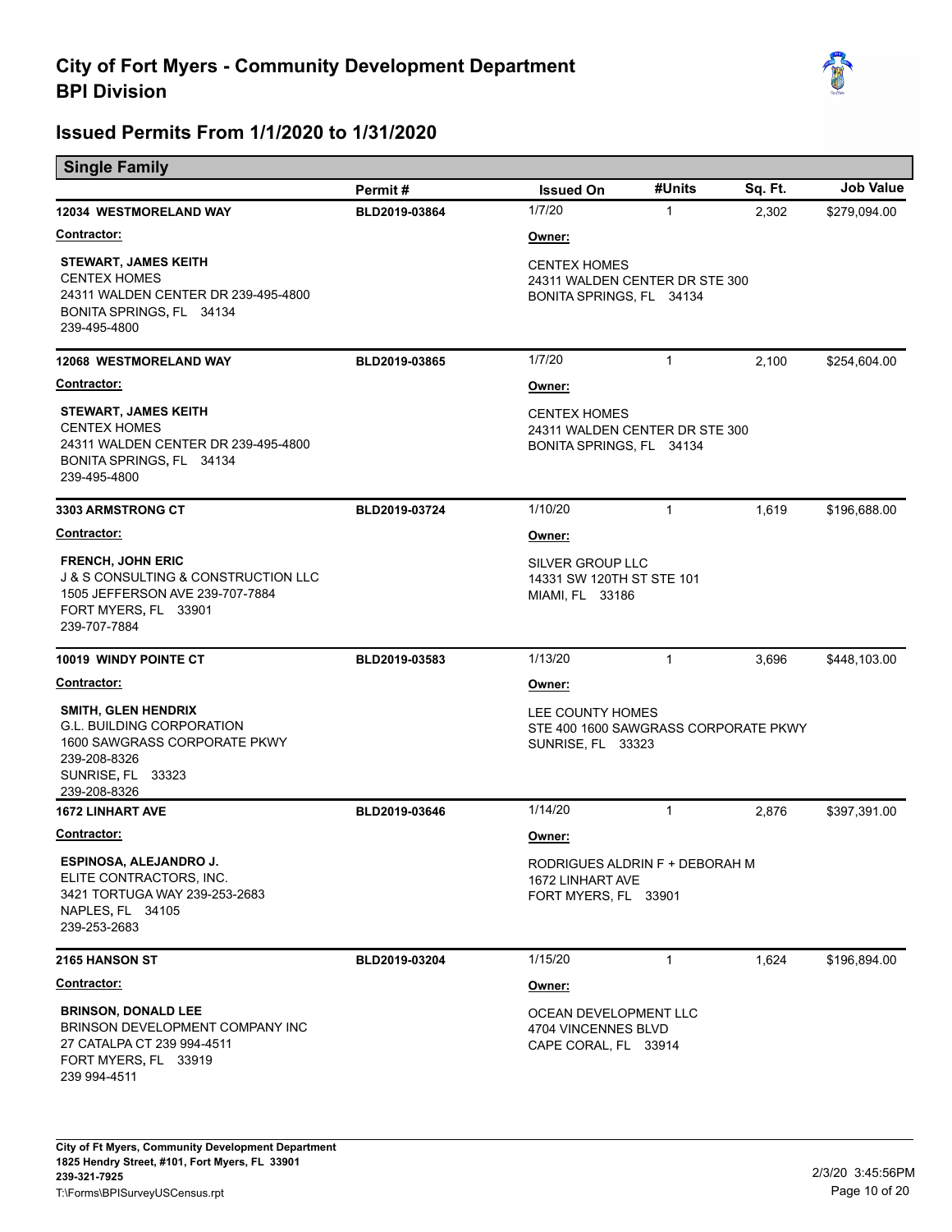

п

| <b>Single Family</b>                                                                                                                                      |                          |                                                                                                    | #Units       | Sq. Ft. | <b>Job Value</b> |
|-----------------------------------------------------------------------------------------------------------------------------------------------------------|--------------------------|----------------------------------------------------------------------------------------------------|--------------|---------|------------------|
| <b>12034 WESTMORELAND WAY</b>                                                                                                                             | Permit#<br>BLD2019-03864 | <b>Issued On</b><br>1/7/20                                                                         | $\mathbf{1}$ | 2,302   | \$279,094.00     |
| <u> Contractor:</u>                                                                                                                                       |                          |                                                                                                    |              |         |                  |
| <b>STEWART, JAMES KEITH</b><br><b>CENTEX HOMES</b><br>24311 WALDEN CENTER DR 239-495-4800<br>BONITA SPRINGS, FL 34134<br>239-495-4800                     |                          | <u>Owner:</u><br><b>CENTEX HOMES</b><br>24311 WALDEN CENTER DR STE 300<br>BONITA SPRINGS, FL 34134 |              |         |                  |
| <b>12068 WESTMORELAND WAY</b>                                                                                                                             | BLD2019-03865            | 1/7/20                                                                                             | $\mathbf{1}$ | 2,100   | \$254,604.00     |
| <b>Contractor:</b>                                                                                                                                        |                          | Owner:                                                                                             |              |         |                  |
| <b>STEWART, JAMES KEITH</b><br><b>CENTEX HOMES</b><br>24311 WALDEN CENTER DR 239-495-4800<br>BONITA SPRINGS, FL 34134<br>239-495-4800                     |                          | <b>CENTEX HOMES</b><br>24311 WALDEN CENTER DR STE 300<br>BONITA SPRINGS, FL 34134                  |              |         |                  |
| 3303 ARMSTRONG CT                                                                                                                                         | BLD2019-03724            | 1/10/20                                                                                            | 1            | 1,619   | \$196,688.00     |
| <b>Contractor:</b>                                                                                                                                        |                          | Owner:                                                                                             |              |         |                  |
| <b>FRENCH, JOHN ERIC</b><br><b>J &amp; S CONSULTING &amp; CONSTRUCTION LLC</b><br>1505 JEFFERSON AVE 239-707-7884<br>FORT MYERS, FL 33901<br>239-707-7884 |                          | SILVER GROUP LLC<br>14331 SW 120TH ST STE 101<br>MIAMI, FL 33186                                   |              |         |                  |
| <b>10019 WINDY POINTE CT</b>                                                                                                                              | BLD2019-03583            | 1/13/20                                                                                            | $\mathbf{1}$ | 3,696   | \$448,103.00     |
| <u>Contractor:</u>                                                                                                                                        |                          | Owner:                                                                                             |              |         |                  |
| <b>SMITH, GLEN HENDRIX</b><br><b>G.L. BUILDING CORPORATION</b><br>1600 SAWGRASS CORPORATE PKWY<br>239-208-8326<br>SUNRISE, FL 33323<br>239-208-8326       |                          | LEE COUNTY HOMES<br>STE 400 1600 SAWGRASS CORPORATE PKWY<br>SUNRISE, FL 33323                      |              |         |                  |
| <b>1672 LINHART AVE</b>                                                                                                                                   | BLD2019-03646            | 1/14/20                                                                                            | $\mathbf{1}$ | 2,876   | \$397,391.00     |
| <u>Contractor:</u>                                                                                                                                        |                          | Owner:                                                                                             |              |         |                  |
| ESPINOSA, ALEJANDRO J.<br>ELITE CONTRACTORS, INC.<br>3421 TORTUGA WAY 239-253-2683<br>NAPLES, FL 34105<br>239-253-2683                                    |                          | RODRIGUES ALDRIN F + DEBORAH M<br>1672 LINHART AVE<br>FORT MYERS, FL 33901                         |              |         |                  |
| <b>2165 HANSON ST</b>                                                                                                                                     | BLD2019-03204            | 1/15/20                                                                                            | $\mathbf{1}$ | 1,624   | \$196,894.00     |
| <b>Contractor:</b>                                                                                                                                        |                          | Owner:                                                                                             |              |         |                  |
| <b>BRINSON, DONALD LEE</b><br>BRINSON DEVELOPMENT COMPANY INC<br>27 CATALPA CT 239 994-4511<br>FORT MYERS, FL 33919<br>239 994-4511                       |                          | OCEAN DEVELOPMENT LLC<br>4704 VINCENNES BLVD<br>CAPE CORAL, FL 33914                               |              |         |                  |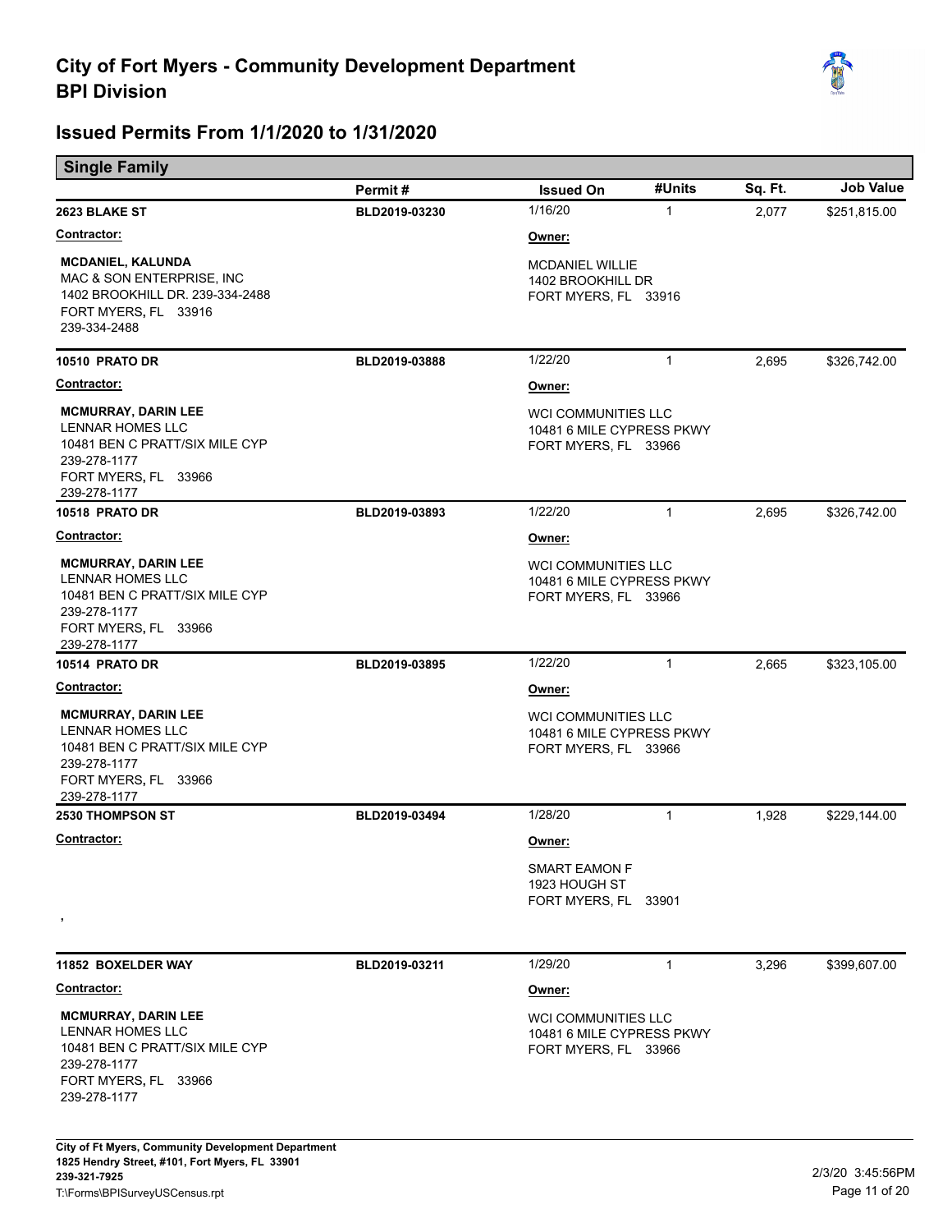

|                                                                                                                                                 | Permit#       | <b>Issued On</b>                                                                | #Units       | Sq. Ft. | <b>Job Value</b> |
|-------------------------------------------------------------------------------------------------------------------------------------------------|---------------|---------------------------------------------------------------------------------|--------------|---------|------------------|
| 2623 BLAKE ST                                                                                                                                   | BLD2019-03230 | 1/16/20                                                                         | $\mathbf{1}$ | 2,077   | \$251,815.00     |
| <u> Contractor:</u>                                                                                                                             |               | <u>Owner:</u>                                                                   |              |         |                  |
| <b>MCDANIEL, KALUNDA</b><br>MAC & SON ENTERPRISE, INC.<br>1402 BROOKHILL DR. 239-334-2488<br>FORT MYERS, FL 33916<br>239-334-2488               |               | <b>MCDANIEL WILLIE</b><br>1402 BROOKHILL DR<br>FORT MYERS, FL 33916             |              |         |                  |
| 10510 PRATO DR                                                                                                                                  | BLD2019-03888 | 1/22/20                                                                         | $\mathbf{1}$ | 2,695   | \$326,742.00     |
| <b>Contractor:</b>                                                                                                                              |               | Owner:                                                                          |              |         |                  |
| <b>MCMURRAY, DARIN LEE</b><br><b>LENNAR HOMES LLC</b><br>10481 BEN C PRATT/SIX MILE CYP<br>239-278-1177<br>FORT MYERS, FL 33966<br>239-278-1177 |               | <b>WCI COMMUNITIES LLC</b><br>10481 6 MILE CYPRESS PKWY<br>FORT MYERS, FL 33966 |              |         |                  |
| <b>10518 PRATO DR</b>                                                                                                                           | BLD2019-03893 | 1/22/20                                                                         | $\mathbf{1}$ | 2,695   | \$326,742.00     |
| <u>Contractor:</u>                                                                                                                              |               | Owner:                                                                          |              |         |                  |
| <b>MCMURRAY, DARIN LEE</b><br><b>LENNAR HOMES LLC</b><br>10481 BEN C PRATT/SIX MILE CYP<br>239-278-1177<br>FORT MYERS, FL 33966<br>239-278-1177 |               | <b>WCI COMMUNITIES LLC</b><br>10481 6 MILE CYPRESS PKWY<br>FORT MYERS, FL 33966 |              |         |                  |
| <b>10514 PRATO DR</b>                                                                                                                           | BLD2019-03895 | 1/22/20                                                                         | $\mathbf{1}$ | 2,665   | \$323,105.00     |
| Contractor:                                                                                                                                     |               | Owner:                                                                          |              |         |                  |
| <b>MCMURRAY, DARIN LEE</b><br>LENNAR HOMES LLC<br>10481 BEN C PRATT/SIX MILE CYP<br>239-278-1177<br>FORT MYERS, FL 33966<br>239-278-1177        |               | WCI COMMUNITIES LLC<br>10481 6 MILE CYPRESS PKWY<br>FORT MYERS, FL 33966        |              |         |                  |
| 2530 THOMPSON ST                                                                                                                                | BLD2019-03494 | 1/28/20                                                                         | $\mathbf{1}$ | 1,928   | \$229,144.00     |
| <b>Contractor:</b>                                                                                                                              |               | Owner:                                                                          |              |         |                  |
| $\,$                                                                                                                                            |               | <b>SMART EAMON F</b><br>1923 HOUGH ST<br>FORT MYERS, FL 33901                   |              |         |                  |
| 11852 BOXELDER WAY                                                                                                                              | BLD2019-03211 | 1/29/20                                                                         | $\mathbf{1}$ | 3,296   | \$399,607.00     |
| <u>Contractor:</u>                                                                                                                              |               | Owner:                                                                          |              |         |                  |
| <b>MCMURRAY, DARIN LEE</b><br>LENNAR HOMES LLC<br>10481 BEN C PRATT/SIX MILE CYP<br>239-278-1177<br>FORT MYERS, FL 33966<br>239-278-1177        |               | <b>WCI COMMUNITIES LLC</b><br>10481 6 MILE CYPRESS PKWY<br>FORT MYERS, FL 33966 |              |         |                  |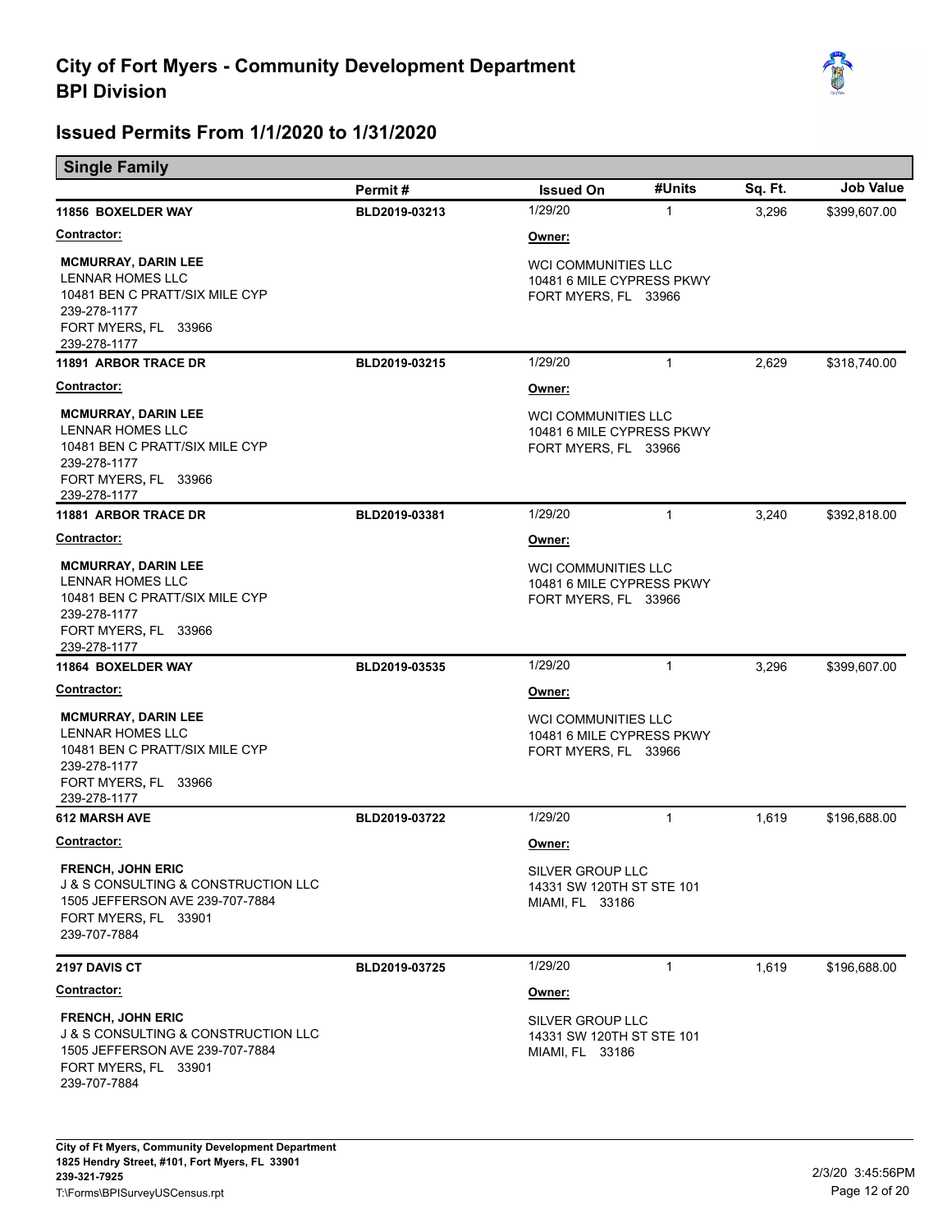

| <b>Single Family</b> |
|----------------------|
|                      |

|                                                                                                                                                           | Permit#       | <b>Issued On</b>                                                                | #Units       | Sq. Ft. | <b>Job Value</b> |
|-----------------------------------------------------------------------------------------------------------------------------------------------------------|---------------|---------------------------------------------------------------------------------|--------------|---------|------------------|
| 11856 BOXELDER WAY                                                                                                                                        | BLD2019-03213 | 1/29/20                                                                         | $\mathbf{1}$ | 3,296   | \$399,607.00     |
| <b>Contractor:</b>                                                                                                                                        |               | Owner:                                                                          |              |         |                  |
| <b>MCMURRAY, DARIN LEE</b><br>LENNAR HOMES LLC<br>10481 BEN C PRATT/SIX MILE CYP<br>239-278-1177<br>FORT MYERS, FL 33966<br>239-278-1177                  |               | WCI COMMUNITIES LLC<br>10481 6 MILE CYPRESS PKWY<br>FORT MYERS, FL 33966        |              |         |                  |
| <b>11891 ARBOR TRACE DR</b>                                                                                                                               | BLD2019-03215 | 1/29/20                                                                         | $\mathbf{1}$ | 2,629   | \$318,740.00     |
| <u>Contractor:</u>                                                                                                                                        |               | Owner:                                                                          |              |         |                  |
| <b>MCMURRAY, DARIN LEE</b><br>LENNAR HOMES LLC<br>10481 BEN C PRATT/SIX MILE CYP<br>239-278-1177<br>FORT MYERS, FL 33966<br>239-278-1177                  |               | <b>WCI COMMUNITIES LLC</b><br>10481 6 MILE CYPRESS PKWY<br>FORT MYERS, FL 33966 |              |         |                  |
| 11881 ARBOR TRACE DR                                                                                                                                      | BLD2019-03381 | 1/29/20                                                                         | $\mathbf{1}$ | 3,240   | \$392,818.00     |
| <u> Contractor:</u>                                                                                                                                       |               | Owner:                                                                          |              |         |                  |
| <b>MCMURRAY, DARIN LEE</b><br>LENNAR HOMES LLC<br>10481 BEN C PRATT/SIX MILE CYP<br>239-278-1177<br>FORT MYERS, FL 33966<br>239-278-1177                  |               | WCI COMMUNITIES LLC<br>10481 6 MILE CYPRESS PKWY<br>FORT MYERS, FL 33966        |              |         |                  |
| 11864 BOXELDER WAY                                                                                                                                        | BLD2019-03535 | 1/29/20                                                                         | $\mathbf{1}$ | 3,296   | \$399,607.00     |
| <u> Contractor:</u>                                                                                                                                       |               | Owner:                                                                          |              |         |                  |
| <b>MCMURRAY, DARIN LEE</b><br>LENNAR HOMES LLC<br>10481 BEN C PRATT/SIX MILE CYP<br>239-278-1177<br>FORT MYERS, FL 33966<br>239-278-1177                  |               | <b>WCI COMMUNITIES LLC</b><br>10481 6 MILE CYPRESS PKWY<br>FORT MYERS, FL 33966 |              |         |                  |
| <b>612 MARSH AVE</b>                                                                                                                                      | BLD2019-03722 | 1/29/20                                                                         | $\mathbf{1}$ | 1,619   | \$196,688.00     |
| <u> Contractor:</u>                                                                                                                                       |               | <u>Owner:</u>                                                                   |              |         |                  |
| <b>FRENCH, JOHN ERIC</b><br><b>J &amp; S CONSULTING &amp; CONSTRUCTION LLC</b><br>1505 JEFFERSON AVE 239-707-7884<br>FORT MYERS, FL 33901<br>239-707-7884 |               | SILVER GROUP LLC<br>14331 SW 120TH ST STE 101<br>MIAMI, FL 33186                |              |         |                  |
| <b>2197 DAVIS CT</b>                                                                                                                                      | BLD2019-03725 | 1/29/20                                                                         | $\mathbf{1}$ | 1.619   | \$196,688.00     |
| Contractor:                                                                                                                                               |               | Owner:                                                                          |              |         |                  |
| <b>FRENCH, JOHN ERIC</b><br><b>J &amp; S CONSULTING &amp; CONSTRUCTION LLC</b><br>1505 JEFFERSON AVE 239-707-7884<br>FORT MYERS, FL 33901<br>239-707-7884 |               | SILVER GROUP LLC<br>14331 SW 120TH ST STE 101<br>MIAMI, FL 33186                |              |         |                  |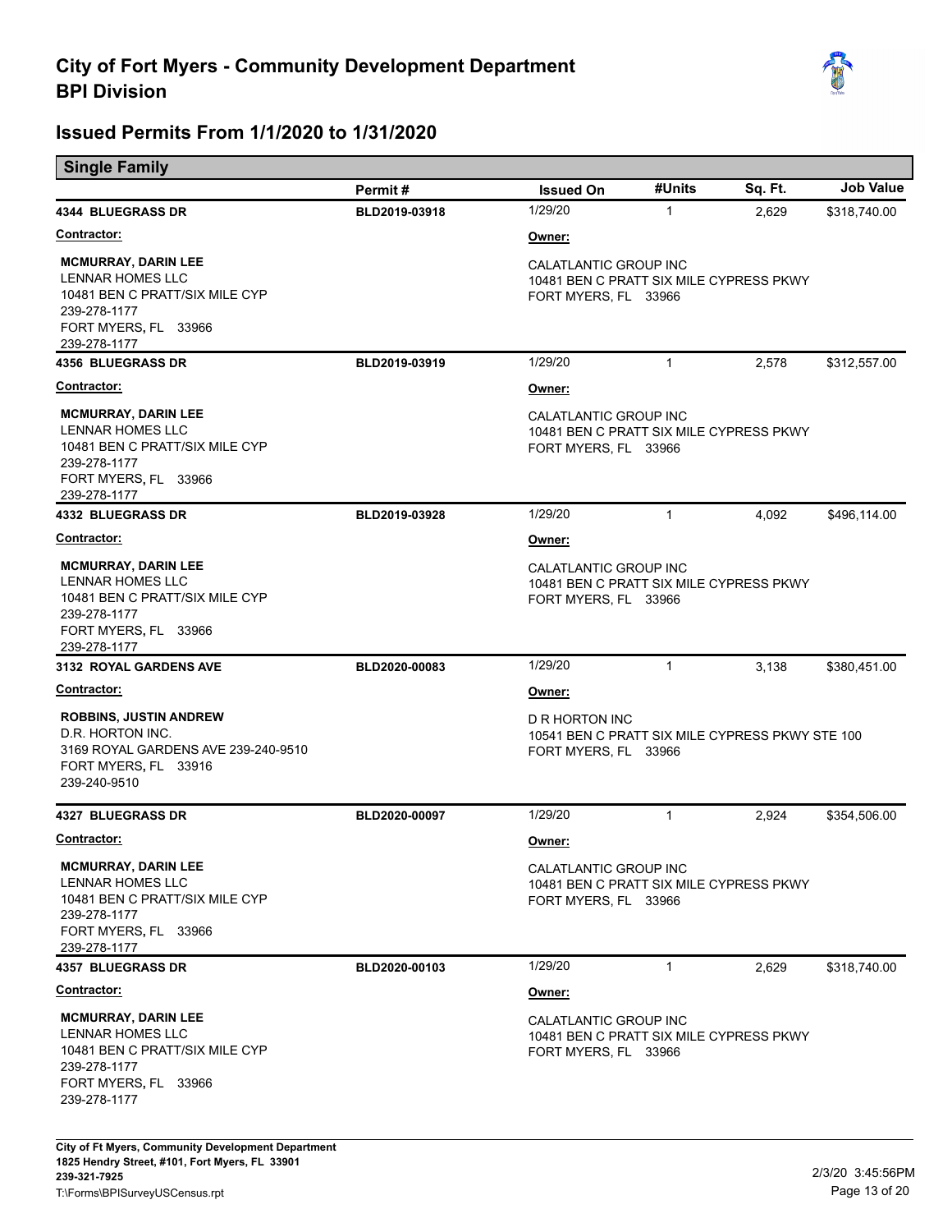

| <u>.</u>                                                                                                                                 | Permit#       | <b>Issued On</b>                                                                          | #Units       | Sq. Ft. | <b>Job Value</b> |
|------------------------------------------------------------------------------------------------------------------------------------------|---------------|-------------------------------------------------------------------------------------------|--------------|---------|------------------|
| <b>4344 BLUEGRASS DR</b>                                                                                                                 | BLD2019-03918 | 1/29/20                                                                                   | $\mathbf{1}$ | 2,629   | \$318,740.00     |
| <b>Contractor:</b>                                                                                                                       |               | Owner:                                                                                    |              |         |                  |
| <b>MCMURRAY, DARIN LEE</b><br>LENNAR HOMES LLC<br>10481 BEN C PRATT/SIX MILE CYP<br>239-278-1177<br>FORT MYERS, FL 33966                 |               | CALATLANTIC GROUP INC<br>10481 BEN C PRATT SIX MILE CYPRESS PKWY<br>FORT MYERS, FL 33966  |              |         |                  |
| 239-278-1177<br><b>4356 BLUEGRASS DR</b>                                                                                                 | BLD2019-03919 | 1/29/20                                                                                   | $\mathbf{1}$ | 2,578   | \$312,557.00     |
| <b>Contractor:</b>                                                                                                                       |               | Owner:                                                                                    |              |         |                  |
| <b>MCMURRAY, DARIN LEE</b><br>LENNAR HOMES LLC<br>10481 BEN C PRATT/SIX MILE CYP<br>239-278-1177<br>FORT MYERS, FL 33966<br>239-278-1177 |               | CALATLANTIC GROUP INC<br>10481 BEN C PRATT SIX MILE CYPRESS PKWY<br>FORT MYERS, FL 33966  |              |         |                  |
| <b>4332 BLUEGRASS DR</b>                                                                                                                 | BLD2019-03928 | 1/29/20                                                                                   | $\mathbf{1}$ | 4,092   | \$496,114.00     |
| <b>Contractor:</b>                                                                                                                       |               | Owner:                                                                                    |              |         |                  |
| <b>MCMURRAY, DARIN LEE</b><br>LENNAR HOMES LLC<br>10481 BEN C PRATT/SIX MILE CYP<br>239-278-1177<br>FORT MYERS, FL 33966<br>239-278-1177 |               | CALATLANTIC GROUP INC<br>10481 BEN C PRATT SIX MILE CYPRESS PKWY<br>FORT MYERS, FL 33966  |              |         |                  |
| <b>3132 ROYAL GARDENS AVE</b>                                                                                                            | BLD2020-00083 | 1/29/20                                                                                   | $\mathbf{1}$ | 3,138   | \$380,451.00     |
| <u>Contractor:</u>                                                                                                                       |               | Owner:                                                                                    |              |         |                  |
| <b>ROBBINS, JUSTIN ANDREW</b><br>D.R. HORTON INC.<br>3169 ROYAL GARDENS AVE 239-240-9510<br>FORT MYERS, FL 33916<br>239-240-9510         |               | D R HORTON INC<br>10541 BEN C PRATT SIX MILE CYPRESS PKWY STE 100<br>FORT MYERS, FL 33966 |              |         |                  |
| <b>4327 BLUEGRASS DR</b>                                                                                                                 | BLD2020-00097 | 1/29/20                                                                                   | $\mathbf{1}$ | 2,924   | \$354,506.00     |
| <u>Contractor:</u>                                                                                                                       |               | Owner:                                                                                    |              |         |                  |
| <b>MCMURRAY, DARIN LEE</b><br>LENNAR HOMES LLC<br>10481 BEN C PRATT/SIX MILE CYP<br>239-278-1177<br>FORT MYERS, FL 33966<br>239-278-1177 |               | CALATLANTIC GROUP INC<br>10481 BEN C PRATT SIX MILE CYPRESS PKWY<br>FORT MYERS, FL 33966  |              |         |                  |
| <b>4357 BLUEGRASS DR</b>                                                                                                                 | BLD2020-00103 | 1/29/20                                                                                   | $\mathbf{1}$ | 2,629   | \$318,740.00     |
| <b>Contractor:</b>                                                                                                                       |               | Owner:                                                                                    |              |         |                  |
| <b>MCMURRAY, DARIN LEE</b><br>LENNAR HOMES LLC<br>10481 BEN C PRATT/SIX MILE CYP<br>239-278-1177<br>FORT MYERS, FL 33966<br>239-278-1177 |               | CALATLANTIC GROUP INC<br>10481 BEN C PRATT SIX MILE CYPRESS PKWY<br>FORT MYERS, FL 33966  |              |         |                  |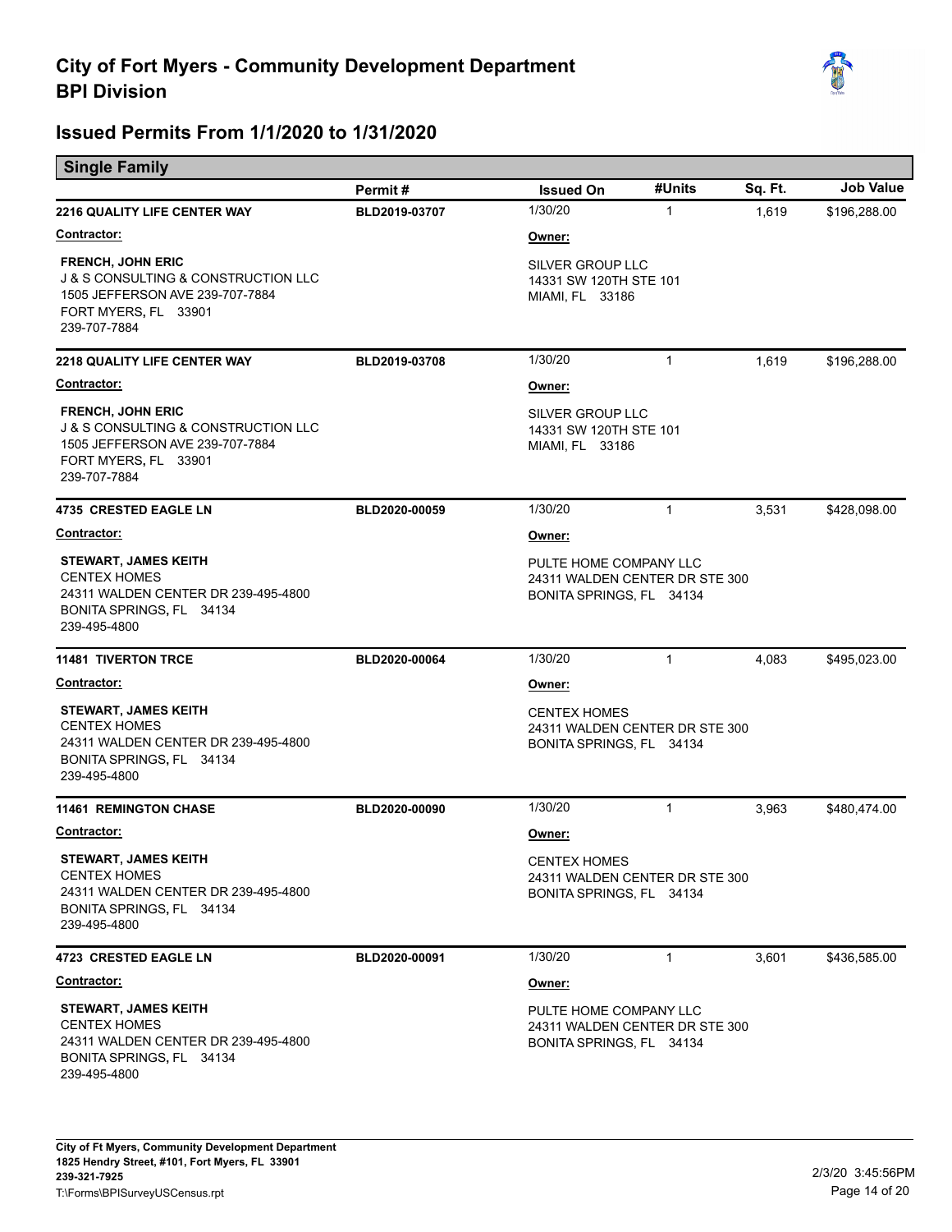

| <b>Single Family</b>                                                                                                                                      |               |                                                                                      |              |         |                  |
|-----------------------------------------------------------------------------------------------------------------------------------------------------------|---------------|--------------------------------------------------------------------------------------|--------------|---------|------------------|
|                                                                                                                                                           | Permit#       | <b>Issued On</b>                                                                     | #Units       | Sq. Ft. | <b>Job Value</b> |
| <b>2216 QUALITY LIFE CENTER WAY</b>                                                                                                                       | BLD2019-03707 | 1/30/20                                                                              | $\mathbf{1}$ | 1,619   | \$196,288.00     |
| Contractor:                                                                                                                                               |               | Owner:                                                                               |              |         |                  |
| <b>FRENCH, JOHN ERIC</b><br><b>J &amp; S CONSULTING &amp; CONSTRUCTION LLC</b><br>1505 JEFFERSON AVE 239-707-7884<br>FORT MYERS, FL 33901<br>239-707-7884 |               | SILVER GROUP LLC<br>14331 SW 120TH STE 101<br>MIAMI, FL 33186                        |              |         |                  |
| <b>2218 QUALITY LIFE CENTER WAY</b>                                                                                                                       | BLD2019-03708 | 1/30/20                                                                              | $\mathbf{1}$ | 1,619   | \$196,288.00     |
| <b>Contractor:</b>                                                                                                                                        |               | Owner:                                                                               |              |         |                  |
| <b>FRENCH, JOHN ERIC</b><br><b>J &amp; S CONSULTING &amp; CONSTRUCTION LLC</b><br>1505 JEFFERSON AVE 239-707-7884<br>FORT MYERS, FL 33901<br>239-707-7884 |               | SILVER GROUP LLC<br>14331 SW 120TH STE 101<br>MIAMI, FL 33186                        |              |         |                  |
| <b>4735 CRESTED EAGLE LN</b>                                                                                                                              | BLD2020-00059 | 1/30/20                                                                              | $\mathbf{1}$ | 3,531   | \$428,098.00     |
| <b>Contractor:</b>                                                                                                                                        |               | Owner:                                                                               |              |         |                  |
| <b>STEWART, JAMES KEITH</b><br><b>CENTEX HOMES</b><br>24311 WALDEN CENTER DR 239-495-4800<br>BONITA SPRINGS, FL 34134<br>239-495-4800                     |               | PULTE HOME COMPANY LLC<br>24311 WALDEN CENTER DR STE 300<br>BONITA SPRINGS, FL 34134 |              |         |                  |
| <b>11481 TIVERTON TRCE</b>                                                                                                                                | BLD2020-00064 | 1/30/20                                                                              | $\mathbf{1}$ | 4,083   | \$495,023.00     |
| <b>Contractor:</b>                                                                                                                                        |               | <u>Owner:</u>                                                                        |              |         |                  |
| <b>STEWART, JAMES KEITH</b><br><b>CENTEX HOMES</b><br>24311 WALDEN CENTER DR 239-495-4800<br>BONITA SPRINGS, FL 34134<br>239-495-4800                     |               | <b>CENTEX HOMES</b><br>24311 WALDEN CENTER DR STE 300<br>BONITA SPRINGS, FL 34134    |              |         |                  |
| <b>11461 REMINGTON CHASE</b>                                                                                                                              | BLD2020-00090 | 1/30/20                                                                              | $\mathbf{1}$ | 3,963   | \$480,474.00     |
| <u>Contractor:</u>                                                                                                                                        |               | <u>Owner:</u>                                                                        |              |         |                  |
| <b>STEWART, JAMES KEITH</b><br><b>CENTEX HOMES</b><br>24311 WALDEN CENTER DR 239-495-4800<br>BONITA SPRINGS, FL 34134<br>239-495-4800                     |               | <b>CENTEX HOMES</b><br>24311 WALDEN CENTER DR STE 300<br>BONITA SPRINGS, FL 34134    |              |         |                  |
| <b>4723 CRESTED EAGLE LN</b>                                                                                                                              | BLD2020-00091 | 1/30/20                                                                              | $\mathbf{1}$ | 3,601   | \$436,585.00     |
| <b>Contractor:</b>                                                                                                                                        |               | Owner:                                                                               |              |         |                  |
| <b>STEWART, JAMES KEITH</b><br><b>CENTEX HOMES</b><br>24311 WALDEN CENTER DR 239-495-4800<br>BONITA SPRINGS, FL 34134<br>239-495-4800                     |               | PULTE HOME COMPANY LLC<br>24311 WALDEN CENTER DR STE 300<br>BONITA SPRINGS, FL 34134 |              |         |                  |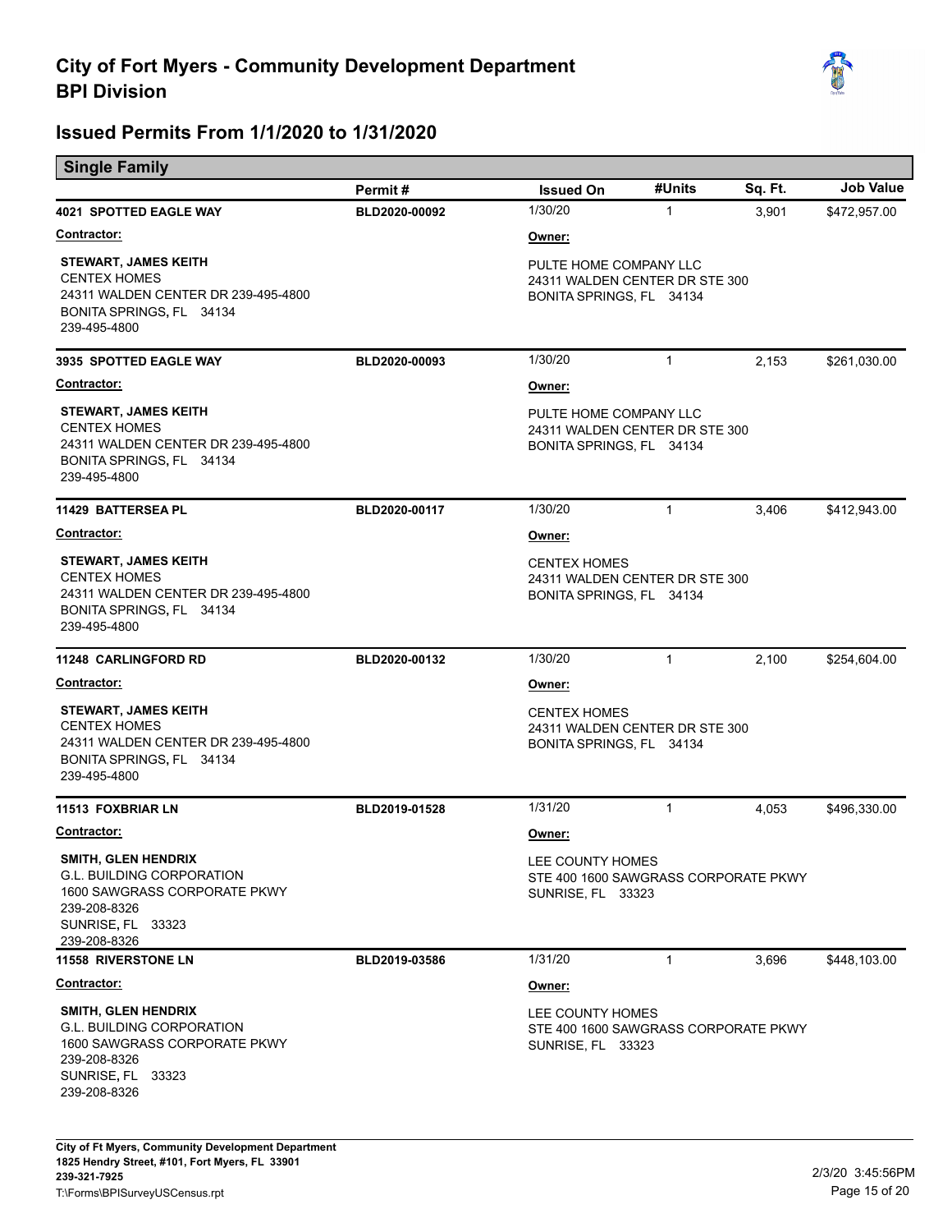

| <b>Single Family</b>                                                                                                                                |               |                                                                                      |              |         |                  |
|-----------------------------------------------------------------------------------------------------------------------------------------------------|---------------|--------------------------------------------------------------------------------------|--------------|---------|------------------|
|                                                                                                                                                     | Permit#       | <b>Issued On</b>                                                                     | #Units       | Sq. Ft. | <b>Job Value</b> |
| <b>4021 SPOTTED EAGLE WAY</b>                                                                                                                       | BLD2020-00092 | 1/30/20                                                                              | $\mathbf{1}$ | 3,901   | \$472,957.00     |
| Contractor:                                                                                                                                         |               | <u>Owner:</u>                                                                        |              |         |                  |
| <b>STEWART, JAMES KEITH</b><br><b>CENTEX HOMES</b><br>24311 WALDEN CENTER DR 239-495-4800<br>BONITA SPRINGS, FL 34134<br>239-495-4800               |               | PULTE HOME COMPANY LLC<br>24311 WALDEN CENTER DR STE 300<br>BONITA SPRINGS, FL 34134 |              |         |                  |
| 3935 SPOTTED EAGLE WAY                                                                                                                              | BLD2020-00093 | 1/30/20                                                                              | $\mathbf{1}$ | 2,153   | \$261,030.00     |
| <b>Contractor:</b>                                                                                                                                  |               | Owner:                                                                               |              |         |                  |
| <b>STEWART, JAMES KEITH</b><br><b>CENTEX HOMES</b><br>24311 WALDEN CENTER DR 239-495-4800<br>BONITA SPRINGS, FL 34134<br>239-495-4800               |               | PULTE HOME COMPANY LLC<br>24311 WALDEN CENTER DR STE 300<br>BONITA SPRINGS, FL 34134 |              |         |                  |
| <b>11429 BATTERSEA PL</b>                                                                                                                           | BLD2020-00117 | 1/30/20                                                                              | 1            | 3,406   | \$412,943.00     |
| <b>Contractor:</b>                                                                                                                                  |               | Owner:                                                                               |              |         |                  |
| <b>STEWART, JAMES KEITH</b><br><b>CENTEX HOMES</b><br>24311 WALDEN CENTER DR 239-495-4800<br>BONITA SPRINGS, FL 34134<br>239-495-4800               |               | <b>CENTEX HOMES</b><br>24311 WALDEN CENTER DR STE 300<br>BONITA SPRINGS, FL 34134    |              |         |                  |
| <b>11248 CARLINGFORD RD</b>                                                                                                                         | BLD2020-00132 | 1/30/20                                                                              | $\mathbf{1}$ | 2,100   | \$254,604.00     |
| <u> Contractor:</u>                                                                                                                                 |               | Owner:                                                                               |              |         |                  |
| <b>STEWART, JAMES KEITH</b><br><b>CENTEX HOMES</b><br>24311 WALDEN CENTER DR 239-495-4800<br>BONITA SPRINGS, FL 34134<br>239-495-4800               |               | <b>CENTEX HOMES</b><br>24311 WALDEN CENTER DR STE 300<br>BONITA SPRINGS, FL 34134    |              |         |                  |
| <b>11513 FOXBRIAR LN</b>                                                                                                                            | BLD2019-01528 | 1/31/20                                                                              | 1            | 4,053   | \$496,330.00     |
| Contractor:                                                                                                                                         |               | Owner:                                                                               |              |         |                  |
| <b>SMITH, GLEN HENDRIX</b><br><b>G.L. BUILDING CORPORATION</b><br>1600 SAWGRASS CORPORATE PKWY<br>239-208-8326<br>SUNRISE, FL 33323<br>239-208-8326 |               | LEE COUNTY HOMES<br>STE 400 1600 SAWGRASS CORPORATE PKWY<br><b>SUNRISE, FL 33323</b> |              |         |                  |
| 11558 RIVERSTONE LN                                                                                                                                 | BLD2019-03586 | 1/31/20                                                                              | $\mathbf{1}$ | 3,696   | \$448,103.00     |
| <b>Contractor:</b>                                                                                                                                  |               | Owner:                                                                               |              |         |                  |
| SMITH, GLEN HENDRIX<br><b>G.L. BUILDING CORPORATION</b><br>1600 SAWGRASS CORPORATE PKWY<br>239-208-8326<br>SUNRISE, FL 33323<br>239-208-8326        |               | LEE COUNTY HOMES<br>STE 400 1600 SAWGRASS CORPORATE PKWY<br><b>SUNRISE, FL 33323</b> |              |         |                  |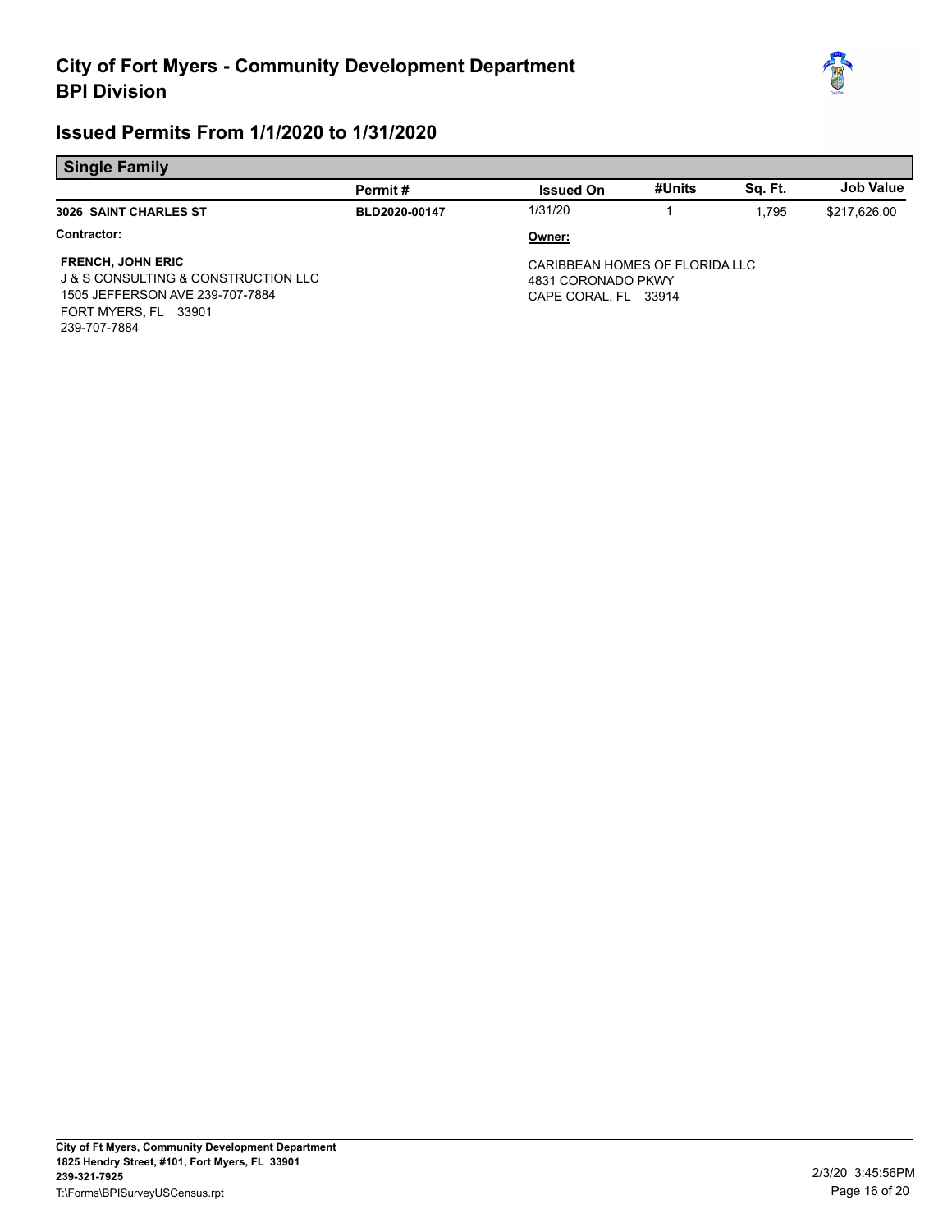

| æz<br>e |
|---------|
|         |
|         |

|                                                                                                                                                           | Permit#       | <b>Issued On</b>                                                             | #Units | Sa. Ft. | <b>Job Value</b> |
|-----------------------------------------------------------------------------------------------------------------------------------------------------------|---------------|------------------------------------------------------------------------------|--------|---------|------------------|
| <b>3026 SAINT CHARLES ST</b>                                                                                                                              | BLD2020-00147 | 1/31/20                                                                      |        | 1.795   | \$217,626.00     |
| Contractor:                                                                                                                                               |               | Owner:                                                                       |        |         |                  |
| <b>FRENCH, JOHN ERIC</b><br><b>J &amp; S CONSULTING &amp; CONSTRUCTION LLC</b><br>1505 JEFFERSON AVE 239-707-7884<br>FORT MYERS, FL 33901<br>239-707-7884 |               | CARIBBEAN HOMES OF FLORIDA LLC<br>4831 CORONADO PKWY<br>CAPE CORAL. FL 33914 |        |         |                  |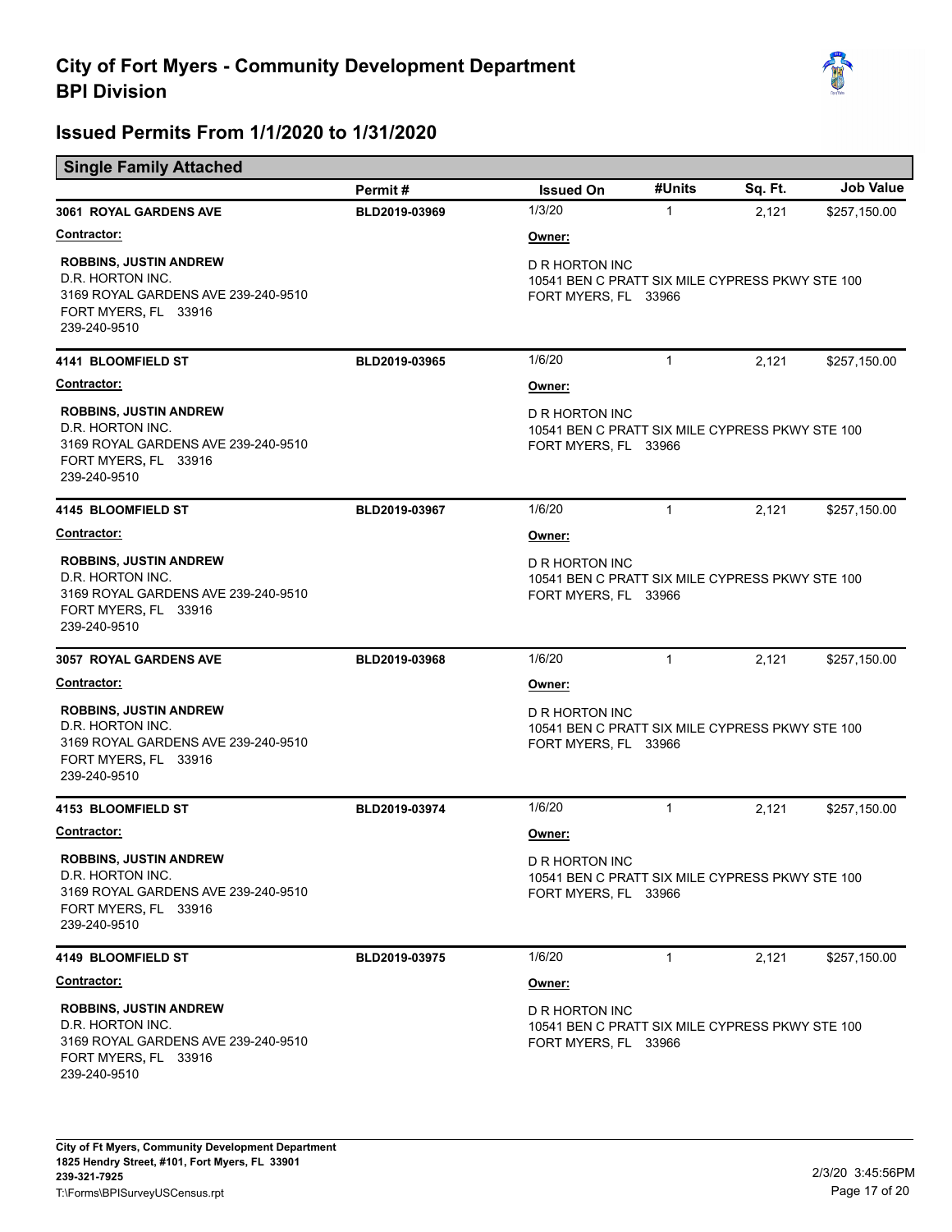

|                                                                                                                                  | Permit#       | <b>Issued On</b>                                                                                 | #Units       | Sq. Ft. | <b>Job Value</b> |
|----------------------------------------------------------------------------------------------------------------------------------|---------------|--------------------------------------------------------------------------------------------------|--------------|---------|------------------|
| 3061 ROYAL GARDENS AVE                                                                                                           | BLD2019-03969 | 1/3/20                                                                                           | $\mathbf{1}$ | 2,121   | \$257,150.00     |
| <b>Contractor:</b>                                                                                                               |               | Owner:                                                                                           |              |         |                  |
| <b>ROBBINS, JUSTIN ANDREW</b><br>D.R. HORTON INC.<br>3169 ROYAL GARDENS AVE 239-240-9510<br>FORT MYERS, FL 33916<br>239-240-9510 |               | D R HORTON INC<br>10541 BEN C PRATT SIX MILE CYPRESS PKWY STE 100<br>FORT MYERS, FL 33966        |              |         |                  |
| 4141 BLOOMFIELD ST                                                                                                               | BLD2019-03965 | 1/6/20                                                                                           | $\mathbf{1}$ | 2,121   | \$257,150.00     |
| Contractor:                                                                                                                      |               | Owner:                                                                                           |              |         |                  |
| <b>ROBBINS, JUSTIN ANDREW</b><br>D.R. HORTON INC.<br>3169 ROYAL GARDENS AVE 239-240-9510<br>FORT MYERS, FL 33916<br>239-240-9510 |               | D R HORTON INC<br>10541 BEN C PRATT SIX MILE CYPRESS PKWY STE 100<br>FORT MYERS, FL 33966        |              |         |                  |
| 4145 BLOOMFIELD ST                                                                                                               | BLD2019-03967 | 1/6/20                                                                                           | $\mathbf{1}$ | 2,121   | \$257,150.00     |
| <b>Contractor:</b>                                                                                                               |               | Owner:                                                                                           |              |         |                  |
| <b>ROBBINS, JUSTIN ANDREW</b><br>D.R. HORTON INC.<br>3169 ROYAL GARDENS AVE 239-240-9510<br>FORT MYERS, FL 33916<br>239-240-9510 |               | D R HORTON INC<br>10541 BEN C PRATT SIX MILE CYPRESS PKWY STE 100<br>FORT MYERS, FL 33966        |              |         |                  |
| 3057 ROYAL GARDENS AVE                                                                                                           | BLD2019-03968 | 1/6/20                                                                                           | $\mathbf{1}$ | 2,121   | \$257,150.00     |
| <b>Contractor:</b>                                                                                                               |               | Owner:                                                                                           |              |         |                  |
| <b>ROBBINS, JUSTIN ANDREW</b><br>D.R. HORTON INC.<br>3169 ROYAL GARDENS AVE 239-240-9510<br>FORT MYERS, FL 33916<br>239-240-9510 |               | D R HORTON INC<br>10541 BEN C PRATT SIX MILE CYPRESS PKWY STE 100<br>FORT MYERS, FL 33966        |              |         |                  |
| 4153 BLOOMFIELD ST                                                                                                               | BLD2019-03974 | 1/6/20                                                                                           | $\mathbf{1}$ | 2,121   | \$257,150.00     |
| Contractor:                                                                                                                      |               | Owner:                                                                                           |              |         |                  |
| <b>ROBBINS, JUSTIN ANDREW</b><br>D.R. HORTON INC.<br>3169 ROYAL GARDENS AVE 239-240-9510<br>FORT MYERS, FL 33916<br>239-240-9510 |               | <b>D R HORTON INC</b><br>10541 BEN C PRATT SIX MILE CYPRESS PKWY STE 100<br>FORT MYERS, FL 33966 |              |         |                  |
| <b>4149 BLOOMFIELD ST</b>                                                                                                        | BLD2019-03975 | 1/6/20                                                                                           | $\mathbf{1}$ | 2,121   | \$257,150.00     |
| <b>Contractor:</b>                                                                                                               |               | Owner:                                                                                           |              |         |                  |
| <b>ROBBINS, JUSTIN ANDREW</b><br>D.R. HORTON INC.<br>3169 ROYAL GARDENS AVE 239-240-9510<br>FORT MYERS, FL 33916<br>239-240-9510 |               | D R HORTON INC<br>10541 BEN C PRATT SIX MILE CYPRESS PKWY STE 100<br>FORT MYERS, FL 33966        |              |         |                  |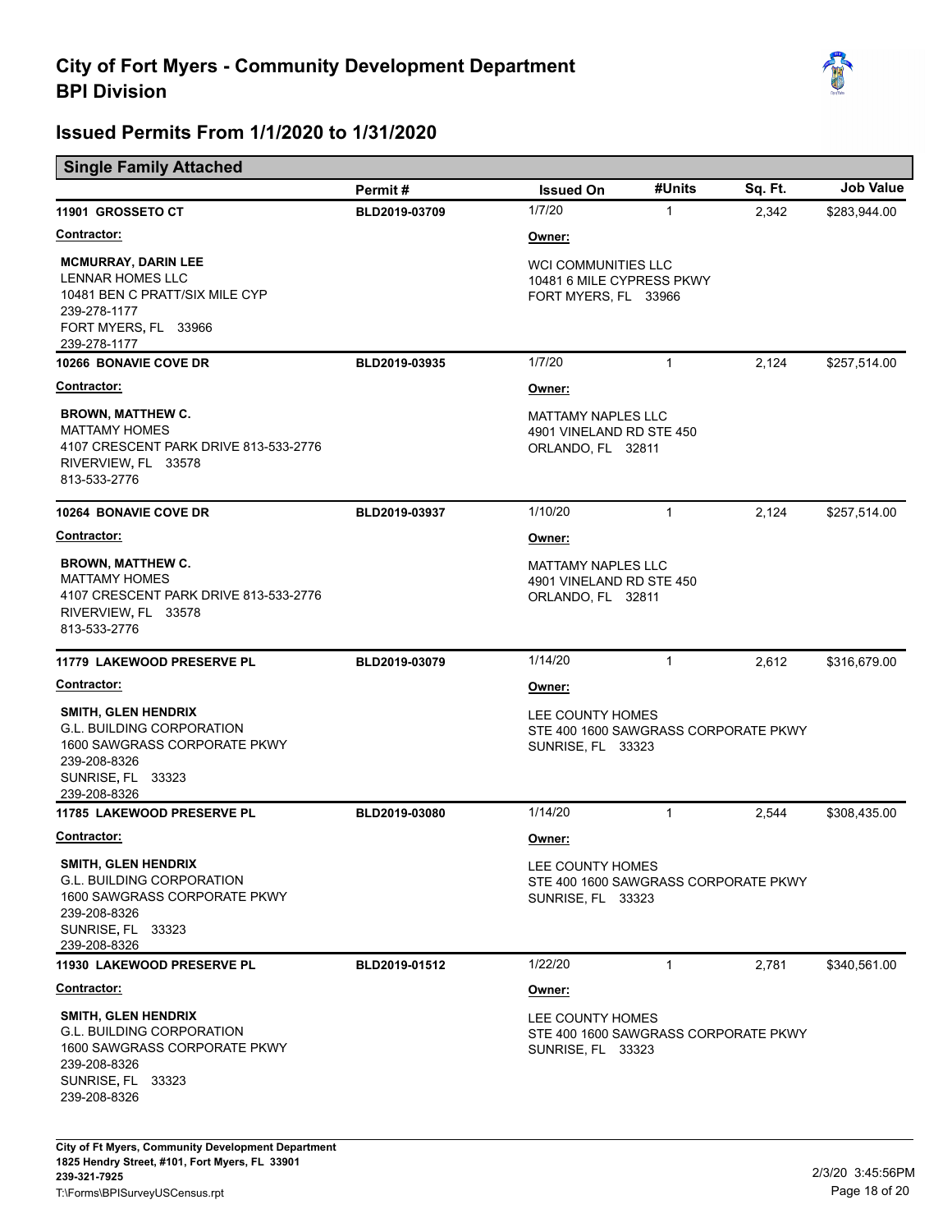

#### **Single Family Attached**

|                                                                                                                                                     | Permit#       | <b>Issued On</b>                                                                     | #Units       | Sq. Ft. | <b>Job Value</b> |
|-----------------------------------------------------------------------------------------------------------------------------------------------------|---------------|--------------------------------------------------------------------------------------|--------------|---------|------------------|
| 11901 GROSSETO CT                                                                                                                                   | BLD2019-03709 | 1/7/20                                                                               | $\mathbf{1}$ | 2,342   | \$283,944.00     |
| <b>Contractor:</b>                                                                                                                                  |               | Owner:                                                                               |              |         |                  |
| <b>MCMURRAY, DARIN LEE</b><br><b>LENNAR HOMES LLC</b><br>10481 BEN C PRATT/SIX MILE CYP<br>239-278-1177<br>FORT MYERS, FL 33966<br>239-278-1177     |               | <b>WCI COMMUNITIES LLC</b><br>10481 6 MILE CYPRESS PKWY<br>FORT MYERS, FL 33966      |              |         |                  |
| 10266 BONAVIE COVE DR                                                                                                                               | BLD2019-03935 | 1/7/20                                                                               | $\mathbf{1}$ | 2,124   | \$257,514.00     |
| Contractor:                                                                                                                                         |               | Owner:                                                                               |              |         |                  |
| <b>BROWN, MATTHEW C.</b><br><b>MATTAMY HOMES</b><br>4107 CRESCENT PARK DRIVE 813-533-2776<br>RIVERVIEW, FL 33578<br>813-533-2776                    |               | <b>MATTAMY NAPLES LLC</b><br>4901 VINELAND RD STE 450<br>ORLANDO, FL 32811           |              |         |                  |
| 10264 BONAVIE COVE DR                                                                                                                               | BLD2019-03937 | 1/10/20                                                                              | $\mathbf{1}$ | 2,124   | \$257,514.00     |
| Contractor:                                                                                                                                         |               | Owner:                                                                               |              |         |                  |
| <b>BROWN, MATTHEW C.</b><br><b>MATTAMY HOMES</b><br>4107 CRESCENT PARK DRIVE 813-533-2776<br>RIVERVIEW, FL 33578<br>813-533-2776                    |               | <b>MATTAMY NAPLES LLC</b><br>4901 VINELAND RD STE 450<br>ORLANDO, FL 32811           |              |         |                  |
| 11779 LAKEWOOD PRESERVE PL                                                                                                                          | BLD2019-03079 | 1/14/20                                                                              | $\mathbf{1}$ | 2,612   | \$316,679.00     |
| <b>Contractor:</b>                                                                                                                                  |               | Owner:                                                                               |              |         |                  |
| <b>SMITH, GLEN HENDRIX</b><br><b>G.L. BUILDING CORPORATION</b><br>1600 SAWGRASS CORPORATE PKWY<br>239-208-8326<br>SUNRISE, FL 33323<br>239-208-8326 |               | LEE COUNTY HOMES<br>STE 400 1600 SAWGRASS CORPORATE PKWY<br>SUNRISE, FL 33323        |              |         |                  |
| 11785 LAKEWOOD PRESERVE PL                                                                                                                          | BLD2019-03080 | 1/14/20                                                                              | $\mathbf{1}$ | 2,544   | \$308,435.00     |
| Contractor:                                                                                                                                         |               | Owner:                                                                               |              |         |                  |
| <b>SMITH, GLEN HENDRIX</b><br><b>G.L. BUILDING CORPORATION</b><br>1600 SAWGRASS CORPORATE PKWY<br>239-208-8326<br>SUNRISE, FL 33323<br>239-208-8326 |               | LEE COUNTY HOMES<br>STE 400 1600 SAWGRASS CORPORATE PKWY<br><b>SUNRISE, FL 33323</b> |              |         |                  |
| 11930 LAKEWOOD PRESERVE PL                                                                                                                          | BLD2019-01512 | 1/22/20                                                                              | $\mathbf{1}$ | 2,781   | \$340,561.00     |
| Contractor:                                                                                                                                         |               | Owner:                                                                               |              |         |                  |
| <b>SMITH, GLEN HENDRIX</b><br><b>G.L. BUILDING CORPORATION</b><br>1600 SAWGRASS CORPORATE PKWY<br>239-208-8326<br>SUNRISE, FL 33323<br>239-208-8326 |               | LEE COUNTY HOMES<br>STE 400 1600 SAWGRASS CORPORATE PKWY<br><b>SUNRISE, FL 33323</b> |              |         |                  |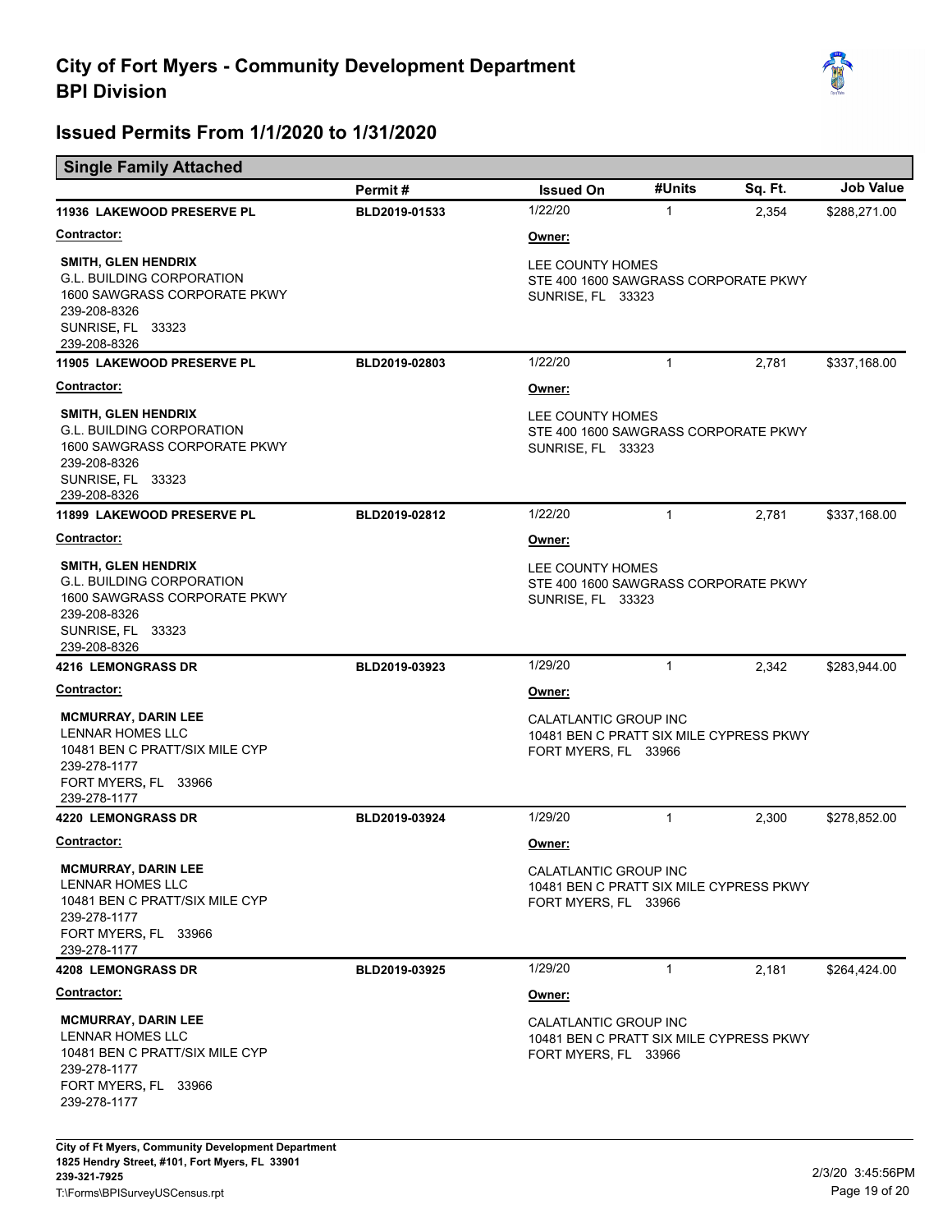

|  |  | <b>Single Family Attached</b> |
|--|--|-------------------------------|
|--|--|-------------------------------|

| $\mathbf{1}$                                                                                       | 2,354 | \$288,271.00 |  |
|----------------------------------------------------------------------------------------------------|-------|--------------|--|
|                                                                                                    |       |              |  |
|                                                                                                    |       |              |  |
| Owner:<br>LEE COUNTY HOMES<br>STE 400 1600 SAWGRASS CORPORATE PKWY<br>SUNRISE, FL 33323            |       |              |  |
| $\mathbf{1}$                                                                                       | 2,781 | \$337,168.00 |  |
|                                                                                                    |       |              |  |
| Owner:<br>LEE COUNTY HOMES<br>STE 400 1600 SAWGRASS CORPORATE PKWY<br>SUNRISE, FL 33323            |       |              |  |
| $\mathbf{1}$                                                                                       | 2,781 | \$337,168.00 |  |
|                                                                                                    |       |              |  |
| LEE COUNTY HOMES<br>STE 400 1600 SAWGRASS CORPORATE PKWY<br>SUNRISE, FL 33323                      |       |              |  |
| $\mathbf{1}$                                                                                       | 2,342 | \$283,944.00 |  |
|                                                                                                    |       |              |  |
| Owner:<br>CALATLANTIC GROUP INC<br>10481 BEN C PRATT SIX MILE CYPRESS PKWY<br>FORT MYERS, FL 33966 |       |              |  |
| $\mathbf{1}$                                                                                       | 2,300 | \$278,852.00 |  |
|                                                                                                    |       |              |  |
| CALATLANTIC GROUP INC<br>10481 BEN C PRATT SIX MILE CYPRESS PKWY<br>FORT MYERS, FL 33966           |       |              |  |
| $\mathbf{1}$                                                                                       | 2,181 | \$264,424.00 |  |
|                                                                                                    |       |              |  |
| CALATLANTIC GROUP INC<br>10481 BEN C PRATT SIX MILE CYPRESS PKWY<br>FORT MYERS, FL 33966           |       |              |  |
|                                                                                                    |       |              |  |